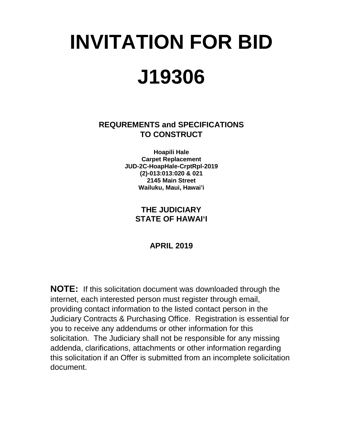# **INVITATION FOR BID J19306**

**REQUREMENTS and SPECIFICATIONS TO CONSTRUCT**

> **Hoapili Hale Carpet Replacement JUD-2C-HoapHale-CrptRpl-2019 (2)-013:013:020 & 021 2145 Main Street Wailuku, Maui, Hawai'i**

## **THE JUDICIARY STATE OF HAWAI'I**

## **APRIL 2019**

**NOTE:** If this solicitation document was downloaded through the internet, each interested person must register through email, providing contact information to the listed contact person in the Judiciary Contracts & Purchasing Office. Registration is essential for you to receive any addendums or other information for this solicitation. The Judiciary shall not be responsible for any missing addenda, clarifications, attachments or other information regarding this solicitation if an Offer is submitted from an incomplete solicitation document.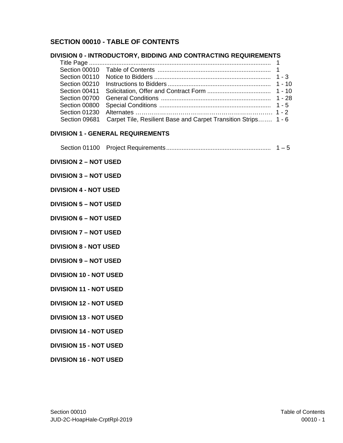## **SECTION 00010 - TABLE OF CONTENTS**

## **DIVISION 0 - INTRODUCTORY, BIDDING AND CONTRACTING REQUIREMENTS**

|  | Section 09681 Carpet Tile, Resilient Base and Carpet Transition Strips 1 - 6 |  |
|--|------------------------------------------------------------------------------|--|
|  |                                                                              |  |

## **DIVISION 1 - GENERAL REQUIREMENTS**

|--|--|--|--|

## **DIVISION 2 – NOT USED**

#### **DIVISION 3 – NOT USED**

#### **DIVISION 4 - NOT USED**

**DIVISION 5 – NOT USED** 

**DIVISION 6 – NOT USED** 

**DIVISION 7 – NOT USED** 

**DIVISION 8 - NOT USED** 

**DIVISION 9 – NOT USED** 

**DIVISION 10 - NOT USED** 

**DIVISION 11 - NOT USED** 

**DIVISION 12 - NOT USED** 

**DIVISION 13 - NOT USED** 

**DIVISION 14 - NOT USED**

**DIVISION 15 - NOT USED**

**DIVISION 16 - NOT USED**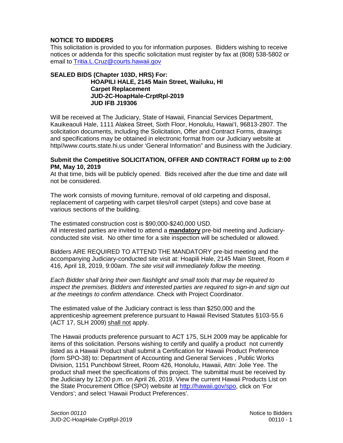## **NOTICE TO BIDDERS**

This solicitation is provided to you for information purposes. Bidders wishing to receive notices or addenda for this specific solicitation must register by fax at (808) 538-5802 or email to [Tritia.L.Cruz@courts.hawaii.gov](mailto:Tritia.L.Cruz@courts.hawaii.gov)

## **SEALED BIDS (Chapter 103D, HRS) For: HOAPILI HALE, 2145 Main Street, Wailuku, HI Carpet Replacement JUD-2C-HoapHale-CrptRpl-2019 JUD IFB J19306**

Will be received at The Judiciary, State of Hawaii, Financial Services Department, Kauikeaouli Hale, 1111 Alakea Street, Sixth Floor, Honolulu, Hawai'I, 96813-2807. The solicitation documents, including the Solicitation, Offer and Contract Forms, drawings and specifications may be obtained in electronic format from our Judiciary website at http//www.courts.state.hi.us under 'General Information" and Business with the Judiciary.

#### **Submit the Competitive SOLICITATION, OFFER AND CONTRACT FORM up to 2:00 PM, May 10, 2019**

At that time, bids will be publicly opened. Bids received after the due time and date will not be considered.

The work consists of moving furniture, removal of old carpeting and disposal, replacement of carpeting with carpet tiles/roll carpet (steps) and cove base at various sections of the building.

The estimated construction cost is \$90,000-\$240,000 USD. All interested parties are invited to attend a **mandatory** pre-bid meeting and Judiciaryconducted site visit. No other time for a site inspection will be scheduled or allowed.

Bidders ARE REQUIRED TO ATTEND THE MANDATORY pre-bid meeting and the accompanying Judiciary-conducted site visit at: Hoapili Hale, 2145 Main Street, Room # 416, April 18, 2019, 9:00am. *The site visit will immediately follow the meeting.*

*Each Bidder shall bring their own flashlight and small tools that may be required to inspect the premises. Bidders and interested parties are required to sign-in and sign out at the meetings to confirm attendance.* Check with Project Coordinator.

The estimated value of the Judiciary contract is less than \$250,000 and the apprenticeship agreement preference pursuant to Hawaii Revised Statutes §103-55.6 (ACT 17, SLH 2009) shall not apply.

The Hawaii products preference pursuant to ACT 175, SLH 2009 may be applicable for items of this solicitation. Persons wishing to certify and qualify a product not currently listed as a Hawaii Product shall submit a Certification for Hawaii Product Preference (form SPO-38) to: Department of Accounting and General Services , Public Works Division, 1151 Punchbowl Street, Room 426, Honolulu, Hawaii, Attn: Jolie Yee. The product shall meet the specifications of this project. The submittal must be received by the Judiciary by 12:00 p.m. on April 26, 2019. View the current Hawaii Products List on the State Procurement Office (SPO) website at [http://hawaii.gov/spo,](http://hawaii.gov/spo) click on 'For Vendors'; and select 'Hawaii Product Preferences'.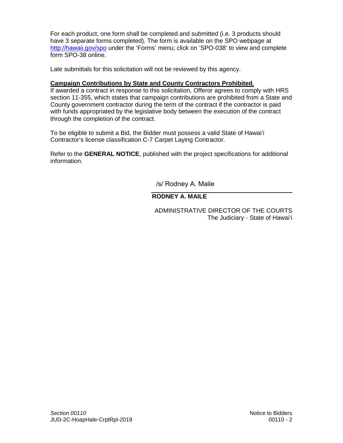For each product, one form shall be completed and submitted (i.e. 3 products should have 3 separate forms completed). The form is available on the SPO webpage at <http://hawaii.gov/spo> under the 'Forms' menu; click on 'SPO-038' to view and complete form SPO-38 online.

Late submittals for this solicitation will not be reviewed by this agency.

## **Campaign Contributions by State and County Contractors Prohibited.**

If awarded a contract in response to this solicitation, Offeror agrees to comply with HRS section 11-355, which states that campaign contributions are prohibited from a State and County government contractor during the term of the contract if the contractor is paid with funds appropriated by the legislative body between the execution of the contract through the completion of the contract.

To be eligible to submit a Bid, the Bidder must possess a valid State of Hawai'i Contractor's license classification C-7 Carpet Laying Contractor.

Refer to the **GENERAL NOTICE**, published with the project specifications for additional information.

/s/ Rodney A. Maile

## **RODNEY A. MAILE**

 ADMINISTRATIVE DIRECTOR OF THE COURTS The Judiciary - State of Hawai'i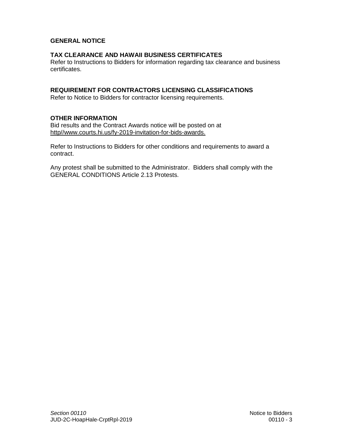## **GENERAL NOTICE**

## **TAX CLEARANCE AND HAWAII BUSINESS CERTIFICATES**

Refer to Instructions to Bidders for information regarding tax clearance and business certificates.

## **REQUIREMENT FOR CONTRACTORS LICENSING CLASSIFICATIONS**

Refer to Notice to Bidders for contractor licensing requirements.

#### **OTHER INFORMATION**

Bid results and the Contract Awards notice will be posted on at http//www.courts.hi.us/fy-2019-invitation-for-bids-awards.

Refer to Instructions to Bidders for other conditions and requirements to award a contract.

Any protest shall be submitted to the Administrator. Bidders shall comply with the GENERAL CONDITIONS Article 2.13 Protests.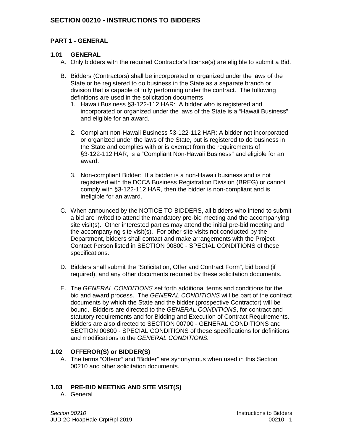## **SECTION 00210 - INSTRUCTIONS TO BIDDERS**

## **PART 1 - GENERAL**

## **1.01 GENERAL**

- A. Only bidders with the required Contractor's license(s) are eligible to submit a Bid.
- B. Bidders (Contractors) shall be incorporated or organized under the laws of the State or be registered to do business in the State as a separate branch or division that is capable of fully performing under the contract. The following definitions are used in the solicitation documents.
	- 1. Hawaii Business §3-122-112 HAR: A bidder who is registered and incorporated or organized under the laws of the State is a "Hawaii Business" and eligible for an award.
	- 2. Compliant non-Hawaii Business §3-122-112 HAR: A bidder not incorporated or organized under the laws of the State, but is registered to do business in the State and complies with or is exempt from the requirements of §3-122-112 HAR, is a "Compliant Non-Hawaii Business" and eligible for an award.
	- 3. Non-compliant Bidder: If a bidder is a non-Hawaii business and is not registered with the DCCA Business Registration Division (BREG) or cannot comply with §3-122-112 HAR, then the bidder is non-compliant and is ineligible for an award.
- C. When announced by the NOTICE TO BIDDERS, all bidders who intend to submit a bid are invited to attend the mandatory pre-bid meeting and the accompanying site visit(s). Other interested parties may attend the initial pre-bid meeting and the accompanying site visit(s). For other site visits not conducted by the Department, bidders shall contact and make arrangements with the Project Contact Person listed in SECTION 00800 - SPECIAL CONDITIONS of these specifications.
- D. Bidders shall submit the "Solicitation, Offer and Contract Form", bid bond (if required), and any other documents required by these solicitation documents.
- E. The *GENERAL CONDITIONS* set forth additional terms and conditions for the bid and award process. The *GENERAL CONDITIONS* will be part of the contract documents by which the State and the bidder (prospective Contractor) will be bound. Bidders are directed to the *GENERAL CONDITIONS*, for contract and statutory requirements and for Bidding and Execution of Contract Requirements. Bidders are also directed to SECTION 00700 - GENERAL CONDITIONS and SECTION 00800 - SPECIAL CONDITIONS of these specifications for definitions and modifications to the *GENERAL CONDITIONS.*

## **1.02 OFFEROR(S) or BIDDER(S)**

A. The terms "Offeror" and "Bidder" are synonymous when used in this Section 00210 and other solicitation documents.

## **1.03 PRE-BID MEETING AND SITE VISIT(S)**

A. General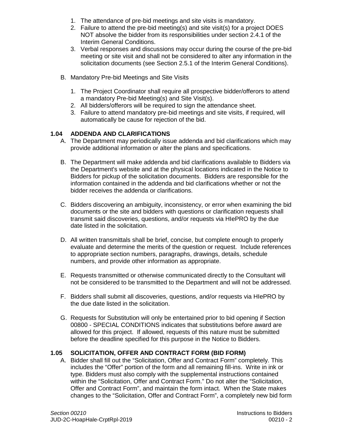- 1. The attendance of pre-bid meetings and site visits is mandatory.
- 2. Failure to attend the pre-bid meeting(s) and site visit(s) for a project DOES NOT absolve the bidder from its responsibilities under section 2.4.1 of the Interim General Conditions.
- 3. Verbal responses and discussions may occur during the course of the pre-bid meeting or site visit and shall not be considered to alter any information in the solicitation documents (see Section 2.5.1 of the Interim General Conditions).
- B. Mandatory Pre-bid Meetings and Site Visits
	- 1. The Project Coordinator shall require all prospective bidder/offerors to attend a mandatory Pre-bid Meeting(s) and Site Visit(s).
	- 2. All bidders/offerors will be required to sign the attendance sheet.
	- 3. Failure to attend mandatory pre-bid meetings and site visits, if required, will automatically be cause for rejection of the bid.

## **1.04 ADDENDA AND CLARIFICATIONS**

- A. The Department may periodically issue addenda and bid clarifications which may provide additional information or alter the plans and specifications.
- B. The Department will make addenda and bid clarifications available to Bidders via the Department's website and at the physical locations indicated in the Notice to Bidders for pickup of the solicitation documents. Bidders are responsible for the information contained in the addenda and bid clarifications whether or not the bidder receives the addenda or clarifications.
- C. Bidders discovering an ambiguity, inconsistency, or error when examining the bid documents or the site and bidders with questions or clarification requests shall transmit said discoveries, questions, and/or requests via HIePRO by the due date listed in the solicitation.
- D. All written transmittals shall be brief, concise, but complete enough to properly evaluate and determine the merits of the question or request. Include references to appropriate section numbers, paragraphs, drawings, details, schedule numbers, and provide other information as appropriate.
- E. Requests transmitted or otherwise communicated directly to the Consultant will not be considered to be transmitted to the Department and will not be addressed.
- F. Bidders shall submit all discoveries, questions, and/or requests via HIePRO by the due date listed in the solicitation.
- G. Requests for Substitution will only be entertained prior to bid opening if Section 00800 - SPECIAL CONDITIONS indicates that substitutions before award are allowed for this project. If allowed, requests of this nature must be submitted before the deadline specified for this purpose in the Notice to Bidders.

## **1.05 SOLICITATION, OFFER AND CONTRACT FORM (BID FORM)**

A. Bidder shall fill out the "Solicitation, Offer and Contract Form" completely. This includes the "Offer" portion of the form and all remaining fill-ins. Write in ink or type. Bidders must also comply with the supplemental instructions contained within the "Solicitation, Offer and Contract Form." Do not alter the "Solicitation, Offer and Contract Form", and maintain the form intact. When the State makes changes to the "Solicitation, Offer and Contract Form", a completely new bid form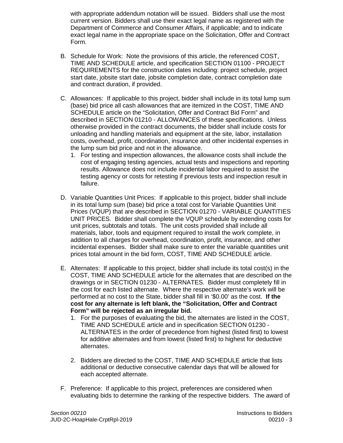with appropriate addendum notation will be issued. Bidders shall use the most current version. Bidders shall use their exact legal name as registered with the Department of Commerce and Consumer Affairs, if applicable; and to indicate exact legal name in the appropriate space on the Solicitation, Offer and Contract Form.

- B. Schedule for Work: Note the provisions of this article, the referenced COST, TIME AND SCHEDULE article, and specification SECTION 01100 - PROJECT REQUIREMENTS for the construction dates including: project schedule, project start date, jobsite start date, jobsite completion date, contract completion date and contract duration, if provided.
- C. Allowances: If applicable to this project, bidder shall include in its total lump sum (base) bid price all cash allowances that are itemized in the COST, TIME AND SCHEDULE article on the "Solicitation, Offer and Contract Bid Form" and described in SECTION 01210 - ALLOWANCES of these specifications. Unless otherwise provided in the contract documents, the bidder shall include costs for unloading and handling materials and equipment at the site, labor, installation costs, overhead, profit, coordination, insurance and other incidental expenses in the lump sum bid price and not in the allowance.
	- 1. For testing and inspection allowances, the allowance costs shall include the cost of engaging testing agencies, actual tests and inspections and reporting results. Allowance does not include incidental labor required to assist the testing agency or costs for retesting if previous tests and inspection result in failure.
- D. Variable Quantities Unit Prices: If applicable to this project, bidder shall include in its total lump sum (base) bid price a total cost for Variable Quantities Unit Prices (VQUP) that are described in SECTION 01270 - VARIABLE QUANTITIES UNIT PRICES. Bidder shall complete the VQUP schedule by extending costs for unit prices, subtotals and totals. The unit costs provided shall include all materials, labor, tools and equipment required to install the work complete, in addition to all charges for overhead, coordination, profit, insurance, and other incidental expenses. Bidder shall make sure to enter the variable quantities unit prices total amount in the bid form, COST, TIME AND SCHEDULE article.
- E. Alternates: If applicable to this project, bidder shall include its total cost(s) in the COST, TIME AND SCHEDULE article for the alternates that are described on the drawings or in SECTION 01230 - ALTERNATES. Bidder must completely fill in the cost for each listed alternate. Where the respective alternate's work will be performed at no cost to the State, bidder shall fill in '\$0.00' as the cost. **If the cost for any alternate is left blank, the "Solicitation, Offer and Contract Form" will be rejected as an irregular bid.**
	- 1. For the purposes of evaluating the bid, the alternates are listed in the COST, TIME AND SCHEDULE article and in specification SECTION 01230 - ALTERNATES in the order of precedence from highest (listed first) to lowest for additive alternates and from lowest (listed first) to highest for deductive alternates.
	- 2. Bidders are directed to the COST, TIME AND SCHEDULE article that lists additional or deductive consecutive calendar days that will be allowed for each accepted alternate.
- F. Preference: If applicable to this project, preferences are considered when evaluating bids to determine the ranking of the respective bidders. The award of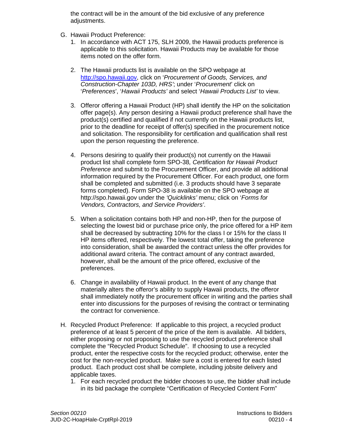the contract will be in the amount of the bid exclusive of any preference adjustments.

- G. Hawaii Product Preference:
	- 1. In accordance with ACT 175, SLH 2009, the Hawaii products preference is applicable to this solicitation. Hawaii Products may be available for those items noted on the offer form.
	- 2. The Hawaii products list is available on the SPO webpage at [http://spo.hawaii.gov,](http://spo.hawaii.gov/) click on '*Procurement of Goods, Services, and Construction-Chapter 103D, HRS'*; under '*Procurement*' click on '*Preferences*', '*Hawaii Products'* and select '*Hawaii Products List'* to view.
	- 3. Offeror offering a Hawaii Product (HP) shall identify the HP on the solicitation offer page(s). Any person desiring a Hawaii product preference shall have the product(s) certified and qualified if not currently on the Hawaii products list, prior to the deadline for receipt of offer(s) specified in the procurement notice and solicitation. The responsibility for certification and qualification shall rest upon the person requesting the preference.
	- 4. Persons desiring to qualify their product(s) not currently on the Hawaii product list shall complete form SPO-38*, Certification for Hawaii Product Preference* and submit to the Procurement Officer, and provide all additional information required by the Procurement Officer. For each product, one form shall be completed and submitted (i.e. 3 products should have 3 separate forms completed). Form SPO-38 is available on the SPO webpage at http://spo.hawaii.gov under the *'Quicklinks'* menu; click on '*Forms for Vendors, Contractors, and Service Providers'*.
	- 5. When a solicitation contains both HP and non-HP, then for the purpose of selecting the lowest bid or purchase price only, the price offered for a HP item shall be decreased by subtracting 10% for the class I or 15% for the class II HP items offered, respectively. The lowest total offer, taking the preference into consideration, shall be awarded the contract unless the offer provides for additional award criteria. The contract amount of any contract awarded, however, shall be the amount of the price offered, exclusive of the preferences.
	- 6. Change in availability of Hawaii product. In the event of any change that materially alters the offeror's ability to supply Hawaii products, the offeror shall immediately notify the procurement officer in writing and the parties shall enter into discussions for the purposes of revising the contract or terminating the contract for convenience.
- H. Recycled Product Preference: If applicable to this project, a recycled product preference of at least 5 percent of the price of the item is available. All bidders, either proposing or not proposing to use the recycled product preference shall complete the "Recycled Product Schedule". If choosing to use a recycled product, enter the respective costs for the recycled product; otherwise, enter the cost for the non-recycled product. Make sure a cost is entered for each listed product. Each product cost shall be complete, including jobsite delivery and applicable taxes.
	- 1. For each recycled product the bidder chooses to use, the bidder shall include in its bid package the complete "Certification of Recycled Content Form"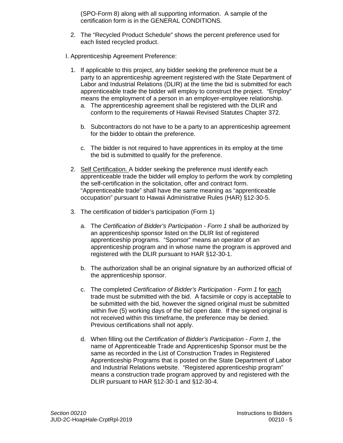(SPO-Form 8) along with all supporting information. A sample of the certification form is in the GENERAL CONDITIONS*.*

- 2. The "Recycled Product Schedule" shows the percent preference used for each listed recycled product.
- I. Apprenticeship Agreement Preference:
	- 1. If applicable to this project, any bidder seeking the preference must be a party to an apprenticeship agreement registered with the State Department of Labor and Industrial Relations (DLIR) at the time the bid is submitted for each apprenticeable trade the bidder will employ to construct the project. "Employ" means the employment of a person in an employer-employee relationship.
		- a. The apprenticeship agreement shall be registered with the DLIR and conform to the requirements of Hawaii Revised Statutes Chapter 372.
		- b. Subcontractors do not have to be a party to an apprenticeship agreement for the bidder to obtain the preference.
		- c. The bidder is not required to have apprentices in its employ at the time the bid is submitted to qualify for the preference.
	- 2. Self Certification. A bidder seeking the preference must identify each apprenticeable trade the bidder will employ to perform the work by completing the self-certification in the solicitation, offer and contract form. "Apprenticeable trade" shall have the same meaning as "apprenticeable occupation" pursuant to Hawaii Administrative Rules (HAR) §12-30-5.
	- 3. The certification of bidder's participation (Form 1)
		- a. The *Certification of Bidder's Participation - Form 1* shall be authorized by an apprenticeship sponsor listed on the DLIR list of registered apprenticeship programs. "Sponsor" means an operator of an apprenticeship program and in whose name the program is approved and registered with the DLIR pursuant to HAR §12-30-1.
		- b. The authorization shall be an original signature by an authorized official of the apprenticeship sponsor.
		- c. The completed *Certification of Bidder's Participation - Form 1* for each trade must be submitted with the bid. A facsimile or copy is acceptable to be submitted with the bid, however the signed original must be submitted within five (5) working days of the bid open date. If the signed original is not received within this timeframe, the preference may be denied. Previous certifications shall not apply.
		- d. When filling out the *Certification of Bidder's Participation - Form 1*, the name of Apprenticeable Trade and Apprenticeship Sponsor must be the same as recorded in the List of Construction Trades in Registered Apprenticeship Programs that is posted on the State Department of Labor and Industrial Relations website. "Registered apprenticeship program" means a construction trade program approved by and registered with the DLIR pursuant to HAR §12-30-1 and §12-30-4.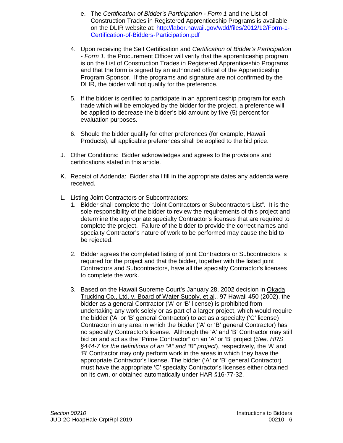- e. The *Certification of Bidder's Participation - Form 1* and the List of Construction Trades in Registered Apprenticeship Programs is available on the DLIR website at: [http://labor.hawaii.gov/wdd/files/2012/12/Form-1-](http://labor.hawaii.gov/wdd/files/2012/12/Form-1-Certification-of-Bidders-Participation.pdf) [Certification-of-Bidders-Participation.pdf](http://labor.hawaii.gov/wdd/files/2012/12/Form-1-Certification-of-Bidders-Participation.pdf)
- 4. Upon receiving the Self Certification and *Certification of Bidder's Participation - Form 1*, the Procurement Officer will verify that the apprenticeship program is on the List of Construction Trades in Registered Apprenticeship Programs and that the form is signed by an authorized official of the Apprenticeship Program Sponsor. If the programs and signature are not confirmed by the DLIR, the bidder will not qualify for the preference.
- 5. If the bidder is certified to participate in an apprenticeship program for each trade which will be employed by the bidder for the project, a preference will be applied to decrease the bidder's bid amount by five (5) percent for evaluation purposes.
- 6. Should the bidder qualify for other preferences (for example, Hawaii Products), all applicable preferences shall be applied to the bid price.
- J. Other Conditions: Bidder acknowledges and agrees to the provisions and certifications stated in this article.
- K. Receipt of Addenda: Bidder shall fill in the appropriate dates any addenda were received.
- L. Listing Joint Contractors or Subcontractors:
	- 1. Bidder shall complete the "Joint Contractors or Subcontractors List". It is the sole responsibility of the bidder to review the requirements of this project and determine the appropriate specialty Contractor's licenses that are required to complete the project. Failure of the bidder to provide the correct names and specialty Contractor's nature of work to be performed may cause the bid to be rejected.
	- 2. Bidder agrees the completed listing of joint Contractors or Subcontractors is required for the project and that the bidder, together with the listed joint Contractors and Subcontractors, have all the specialty Contractor's licenses to complete the work.
	- 3. Based on the Hawaii Supreme Court's January 28, 2002 decision in Okada Trucking Co., Ltd. v. Board of Water Supply, et al., 97 Hawaii 450 (2002), the bidder as a general Contractor ('A' or 'B' license) is prohibited from undertaking any work solely or as part of a larger project, which would require the bidder ('A' or 'B' general Contractor) to act as a specialty ('C' license) Contractor in any area in which the bidder ('A' or 'B' general Contractor) has no specialty Contractor's license. Although the 'A' and 'B' Contractor may still bid on and act as the "Prime Contractor" on an 'A' or 'B' project (*See, HRS §444-7 for the definitions of an "A" and "B" project*), respectively, the 'A' and 'B' Contractor may only perform work in the areas in which they have the appropriate Contractor's license. The bidder ('A' or 'B' general Contractor) must have the appropriate 'C' specialty Contractor's licenses either obtained on its own, or obtained automatically under HAR §16-77-32.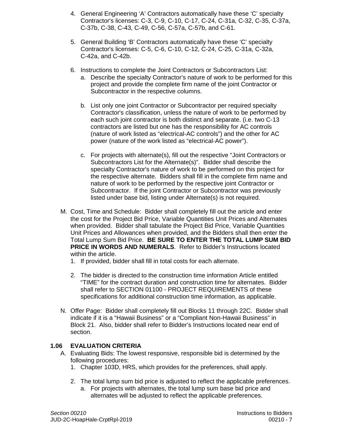- 4. General Engineering 'A' Contractors automatically have these 'C' specialty Contractor's licenses: C-3, C-9, C-10, C-17, C-24, C-31a, C-32, C-35, C-37a, C-37b, C-38, C-43, C-49, C-56, C-57a, C-57b, and C-61.
- 5. General Building 'B' Contractors automatically have these 'C' specialty Contractor's licenses: C-5, C-6, C-10, C-12, C-24, C-25, C-31a, C-32a, C-42a, and C-42b.
- 6. Instructions to complete the Joint Contractors or Subcontractors List:
	- a. Describe the specialty Contractor's nature of work to be performed for this project and provide the complete firm name of the joint Contractor or Subcontractor in the respective columns.
	- b. List only one joint Contractor or Subcontractor per required specialty Contractor's classification, unless the nature of work to be performed by each such joint contractor is both distinct and separate. (i.e. two C-13 contractors are listed but one has the responsibility for AC controls (nature of work listed as "electrical-AC controls") and the other for AC power (nature of the work listed as "electrical-AC power").
	- c. For projects with alternate(s), fill out the respective "Joint Contractors or Subcontractors List for the Alternate(s)". Bidder shall describe the specialty Contractor's nature of work to be performed on this project for the respective alternate. Bidders shall fill in the complete firm name and nature of work to be performed by the respective joint Contractor or Subcontractor. If the joint Contractor or Subcontractor was previously listed under base bid, listing under Alternate(s) is not required.
- M. Cost, Time and Schedule: Bidder shall completely fill out the article and enter the cost for the Project Bid Price, Variable Quantities Unit Prices and Alternates when provided. Bidder shall tabulate the Project Bid Price, Variable Quantities Unit Prices and Allowances when provided, and the Bidders shall then enter the Total Lump Sum Bid Price. **BE SURE TO ENTER THE TOTAL LUMP SUM BID PRICE IN WORDS AND NUMERALS.** Refer to Bidder's Instructions located within the article.
	- 1. If provided, bidder shall fill in total costs for each alternate.
	- 2. The bidder is directed to the construction time information Article entitled "TIME" for the contract duration and construction time for alternates. Bidder shall refer to SECTION 01100 - PROJECT REQUIREMENTS of these specifications for additional construction time information, as applicable.
- N. Offer Page: Bidder shall completely fill out Blocks 11 through 22C. Bidder shall indicate if it is a "Hawaii Business" or a "Compliant Non-Hawaii Business" in Block 21. Also, bidder shall refer to Bidder's Instructions located near end of section.

## **1.06 EVALUATION CRITERIA**

- A. Evaluating Bids: The lowest responsive, responsible bid is determined by the following procedures:
	- 1. Chapter 103D, HRS, which provides for the preferences, shall apply.
	- 2. The total lump sum bid price is adjusted to reflect the applicable preferences.
		- a. For projects with alternates, the total lump sum base bid price and alternates will be adjusted to reflect the applicable preferences.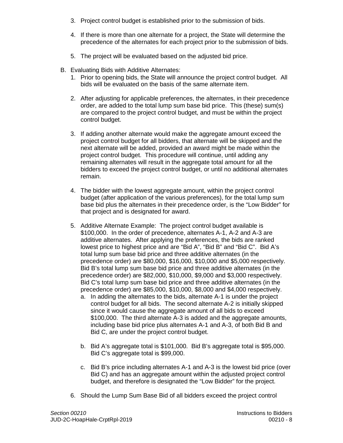- 3. Project control budget is established prior to the submission of bids.
- 4. If there is more than one alternate for a project, the State will determine the precedence of the alternates for each project prior to the submission of bids.
- 5. The project will be evaluated based on the adjusted bid price.
- B. Evaluating Bids with Additive Alternates:
	- 1. Prior to opening bids, the State will announce the project control budget. All bids will be evaluated on the basis of the same alternate item.
	- 2. After adjusting for applicable preferences, the alternates, in their precedence order, are added to the total lump sum base bid price. This (these) sum(s) are compared to the project control budget, and must be within the project control budget.
	- 3. If adding another alternate would make the aggregate amount exceed the project control budget for all bidders, that alternate will be skipped and the next alternate will be added, provided an award might be made within the project control budget. This procedure will continue, until adding any remaining alternates will result in the aggregate total amount for all the bidders to exceed the project control budget, or until no additional alternates remain.
	- 4. The bidder with the lowest aggregate amount, within the project control budget (after application of the various preferences), for the total lump sum base bid plus the alternates in their precedence order, is the "Low Bidder" for that project and is designated for award.
	- 5. Additive Alternate Example: The project control budget available is \$100,000. In the order of precedence, alternates A-1, A-2 and A-3 are additive alternates. After applying the preferences, the bids are ranked lowest price to highest price and are "Bid A", "Bid B" and "Bid C". Bid A's total lump sum base bid price and three additive alternates (in the precedence order) are \$80,000, \$16,000, \$10,000 and \$5,000 respectively. Bid B's total lump sum base bid price and three additive alternates (in the precedence order) are \$82,000, \$10,000, \$9,000 and \$3,000 respectively. Bid C's total lump sum base bid price and three additive alternates (in the precedence order) are \$85,000, \$10,000, \$8,000 and \$4,000 respectively.
		- a. In adding the alternates to the bids, alternate A-1 is under the project control budget for all bids. The second alternate A-2 is initially skipped since it would cause the aggregate amount of all bids to exceed \$100,000. The third alternate A-3 is added and the aggregate amounts, including base bid price plus alternates A-1 and A-3, of both Bid B and Bid C, are under the project control budget.
		- b. Bid A's aggregate total is \$101,000. Bid B's aggregate total is \$95,000. Bid C's aggregate total is \$99,000.
		- c. Bid B's price including alternates A-1 and A-3 is the lowest bid price (over Bid C) and has an aggregate amount within the adjusted project control budget, and therefore is designated the "Low Bidder" for the project.
	- 6. Should the Lump Sum Base Bid of all bidders exceed the project control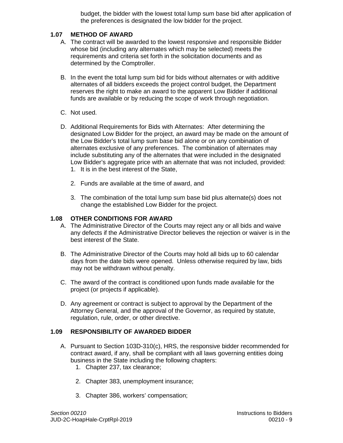budget, the bidder with the lowest total lump sum base bid after application of the preferences is designated the low bidder for the project.

## **1.07 METHOD OF AWARD**

- A. The contract will be awarded to the lowest responsive and responsible Bidder whose bid (including any alternates which may be selected) meets the requirements and criteria set forth in the solicitation documents and as determined by the Comptroller.
- B. In the event the total lump sum bid for bids without alternates or with additive alternates of all bidders exceeds the project control budget, the Department reserves the right to make an award to the apparent Low Bidder if additional funds are available or by reducing the scope of work through negotiation.
- C. Not used.
- D. Additional Requirements for Bids with Alternates: After determining the designated Low Bidder for the project, an award may be made on the amount of the Low Bidder's total lump sum base bid alone or on any combination of alternates exclusive of any preferences. The combination of alternates may include substituting any of the alternates that were included in the designated Low Bidder's aggregate price with an alternate that was not included, provided:
	- 1. It is in the best interest of the State,
	- 2. Funds are available at the time of award, and
	- 3. The combination of the total lump sum base bid plus alternate(s) does not change the established Low Bidder for the project.

## **1.08 OTHER CONDITIONS FOR AWARD**

- A. The Administrative Director of the Courts may reject any or all bids and waive any defects if the Administrative Director believes the rejection or waiver is in the best interest of the State.
- B. The Administrative Director of the Courts may hold all bids up to 60 calendar days from the date bids were opened. Unless otherwise required by law, bids may not be withdrawn without penalty.
- C. The award of the contract is conditioned upon funds made available for the project (or projects if applicable).
- D. Any agreement or contract is subject to approval by the Department of the Attorney General, and the approval of the Governor, as required by statute, regulation, rule, order, or other directive.

## **1.09 RESPONSIBILITY OF AWARDED BIDDER**

- A. Pursuant to Section 103D-310(c), HRS, the responsive bidder recommended for contract award, if any, shall be compliant with all laws governing entities doing business in the State including the following chapters:
	- 1. Chapter 237, tax clearance;
	- 2. Chapter 383, unemployment insurance;
	- 3. Chapter 386, workers' compensation;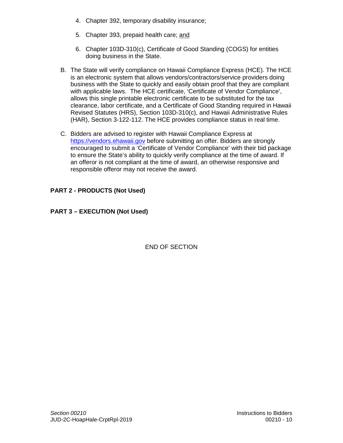- 4. Chapter 392, temporary disability insurance;
- 5. Chapter 393, prepaid health care; and
- 6. Chapter 103D-310(c), Certificate of Good Standing (COGS) for entities doing business in the State.
- B. The State will verify compliance on Hawaii Compliance Express (HCE). The HCE is an electronic system that allows vendors/contractors/service providers doing business with the State to quickly and easily obtain proof that they are compliant with applicable laws. The HCE certificate, 'Certificate of Vendor Compliance', allows this single printable electronic certificate to be substituted for the tax clearance, labor certificate, and a Certificate of Good Standing required in Hawaii Revised Statutes (HRS), Section 103D-310(c), and Hawaii Administrative Rules (HAR), Section 3-122-112. The HCE provides compliance status in real time.
- C. Bidders are advised to register with Hawaii Compliance Express at [https://vendors.ehawaii.gov](https://vendors.ehawaii.gov/) before submitting an offer. Bidders are strongly encouraged to submit a 'Certificate of Vendor Compliance' with their bid package to ensure the State's ability to quickly verify compliance at the time of award. If an offeror is not compliant at the time of award, an otherwise responsive and responsible offeror may not receive the award.

## **PART 2 - PRODUCTS (Not Used)**

## **PART 3 – EXECUTION (Not Used)**

## END OF SECTION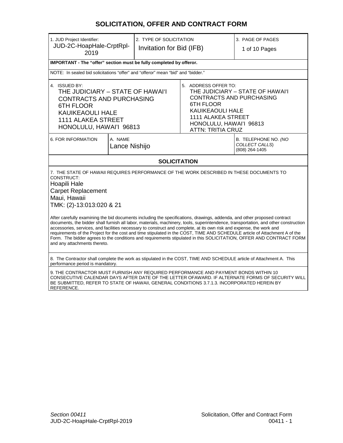## **SOLICITATION, OFFER AND CONTRACT FORM**

| 1. JUD Project Identifier:<br>JUD-2C-HoapHale-CrptRpl-<br>2019                                                                                                                                                                                                                                                                                                                                                                                                                                                                                                                                                                                                                                                                                                                                                                                                                 |  | 2. TYPE OF SOLICITATION<br>Invitation for Bid (IFB) |                                                                                                                                                  | 3. PAGE OF PAGES<br>1 of 10 Pages                                   |
|--------------------------------------------------------------------------------------------------------------------------------------------------------------------------------------------------------------------------------------------------------------------------------------------------------------------------------------------------------------------------------------------------------------------------------------------------------------------------------------------------------------------------------------------------------------------------------------------------------------------------------------------------------------------------------------------------------------------------------------------------------------------------------------------------------------------------------------------------------------------------------|--|-----------------------------------------------------|--------------------------------------------------------------------------------------------------------------------------------------------------|---------------------------------------------------------------------|
| IMPORTANT - The "offer" section must be fully completed by offeror.                                                                                                                                                                                                                                                                                                                                                                                                                                                                                                                                                                                                                                                                                                                                                                                                            |  |                                                     |                                                                                                                                                  |                                                                     |
| NOTE: In sealed bid solicitations "offer" and "offeror" mean "bid" and "bidder."                                                                                                                                                                                                                                                                                                                                                                                                                                                                                                                                                                                                                                                                                                                                                                                               |  |                                                     |                                                                                                                                                  |                                                                     |
|                                                                                                                                                                                                                                                                                                                                                                                                                                                                                                                                                                                                                                                                                                                                                                                                                                                                                |  |                                                     |                                                                                                                                                  |                                                                     |
| 4. ISSUED BY:<br>THE JUDICIARY - STATE OF HAWAI'I<br><b>CONTRACTS AND PURCHASING</b><br><b>6TH FLOOR</b><br><b>KAUIKEAOULI HALE</b><br><b>1111 ALAKEA STREET</b><br>HONOLULU, HAWAI'I 96813                                                                                                                                                                                                                                                                                                                                                                                                                                                                                                                                                                                                                                                                                    |  |                                                     | 5. ADDRESS OFFER TO:<br><b>6TH FLOOR</b><br><b>KAUIKEAOULI HALE</b><br>1111 ALAKEA STREET<br>HONOLULU, HAWAI'I 96813<br><b>ATTN: TRITIA CRUZ</b> | THE JUDICIARY - STATE OF HAWAI'I<br><b>CONTRACTS AND PURCHASING</b> |
| 6. FOR INFORMATION<br>A. NAME<br>Lance Nishijo                                                                                                                                                                                                                                                                                                                                                                                                                                                                                                                                                                                                                                                                                                                                                                                                                                 |  |                                                     | B. TELEPHONE NO. (NO<br>COLLECT CALLS)<br>(808) 264-1405                                                                                         |                                                                     |
|                                                                                                                                                                                                                                                                                                                                                                                                                                                                                                                                                                                                                                                                                                                                                                                                                                                                                |  | <b>SOLICITATION</b>                                 |                                                                                                                                                  |                                                                     |
| 7. THE STATE OF HAWAII REQUIRES PERFORMANCE OF THE WORK DESCRIBED IN THESE DOCUMENTS TO<br>CONSTRUCT:<br>Hoapili Hale<br><b>Carpet Replacement</b><br>Maui, Hawaii<br>TMK: (2)-13:013:020 & 21<br>After carefully examining the bid documents including the specifications, drawings, addenda, and other proposed contract<br>documents, the bidder shall furnish all labor, materials, machinery, tools, superintendence, transportation, and other construction<br>accessories, services, and facilities necessary to construct and complete, at its own risk and expense, the work and<br>requirements of the Project for the cost and time stipulated in the COST, TIME AND SCHEDULE article of Attachment A of the<br>Form. The bidder agrees to the conditions and requirements stipulated in this SOLICITATION, OFFER AND CONTRACT FORM<br>and any attachments thereto. |  |                                                     |                                                                                                                                                  |                                                                     |
| 8. The Contractor shall complete the work as stipulated in the COST, TIME AND SCHEDULE article of Attachment A. This<br>performance period is mandatory.                                                                                                                                                                                                                                                                                                                                                                                                                                                                                                                                                                                                                                                                                                                       |  |                                                     |                                                                                                                                                  |                                                                     |
| 9. THE CONTRACTOR MUST FURNISH ANY REQUIRED PERFORMANCE AND PAYMENT BONDS WITHIN 10<br>CONSECUTIVE CALENDAR DAYS AFTER DATE OF THE LETTER OFAWARD. IF ALTERNATE FORMS OF SECURITY WILL<br>BE SUBMITTED, REFER TO STATE OF HAWAII, GENERAL CONDITIONS 3.7.1.3. INCORPORATED HEREIN BY                                                                                                                                                                                                                                                                                                                                                                                                                                                                                                                                                                                           |  |                                                     |                                                                                                                                                  |                                                                     |

<u>REFERENCE.</u>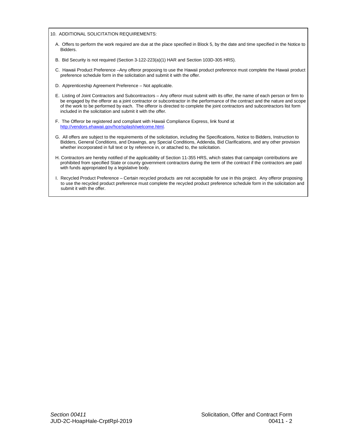10. ADDITIONAL SOLICITATION REQUIREMENTS:

- A. Offers to perform the work required are due at the place specified in Block 5, by the date and time specified in the Notice to Bidders.
- B. Bid Security is not required (Section 3-122-223(a)(1) HAR and Section 103D-305 HRS).
- C. Hawaii Product Preference –Any offeror proposing to use the Hawaii product preference must complete the Hawaii product preference schedule form in the solicitation and submit it with the offer.
- D. Apprenticeship Agreement Preference Not applicable.
- E. Listing of Joint Contractors and Subcontractors Any offeror must submit with its offer, the name of each person or firm to be engaged by the offeror as a joint contractor or subcontractor in the performance of the contract and the nature and scope of the work to be performed by each. The offeror is directed to complete the joint contractors and subcontractors list form included in the solicitation and submit it with the offer.
- F. The Offeror be registered and compliant with Hawaii Compliance Express, link found at [http://vendors.ehawaii.gov/hce/splash/welcome.html.](http://vendors.ehawaii.gov/hce/splash/welcome.html)
- G. All offers are subject to the requirements of the solicitation, including the Specifications, Notice to Bidders, Instruction to Bidders, General Conditions, and Drawings, any Special Conditions, Addenda, Bid Clarifications, and any other provision whether incorporated in full text or by reference in, or attached to, the solicitation.
- H. Contractors are hereby notified of the applicability of Section 11-355 HRS, which states that campaign contributions are prohibited from specified State or county government contractors during the term of the contract if the contractors are paid with funds appropriated by a legislative body.
- I. Recycled Product Preference Certain recycled products are not acceptable for use in this project. Any offeror proposing to use the recycled product preference must complete the recycled product preference schedule form in the solicitation and submit it with the offer.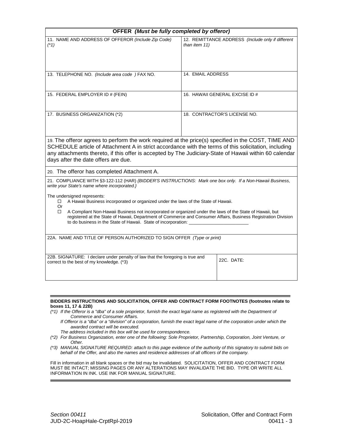|                                                                                                                                                                                                                                                                                                                                                                                                                                        | OFFER (Must be fully completed by offeror)                         |  |  |
|----------------------------------------------------------------------------------------------------------------------------------------------------------------------------------------------------------------------------------------------------------------------------------------------------------------------------------------------------------------------------------------------------------------------------------------|--------------------------------------------------------------------|--|--|
| 11. NAME AND ADDRESS OF OFFEROR (Include Zip Code)<br>$(*1)$                                                                                                                                                                                                                                                                                                                                                                           | 12. REMITTANCE ADDRESS (Include only if different<br>than item 11) |  |  |
| 13. TELEPHONE NO. (Include area code ) FAX NO.                                                                                                                                                                                                                                                                                                                                                                                         | 14. EMAIL ADDRESS                                                  |  |  |
| 15. FEDERAL EMPLOYER ID # (FEIN)                                                                                                                                                                                                                                                                                                                                                                                                       | 16. HAWAII GENERAL EXCISE ID #                                     |  |  |
| 17. BUSINESS ORGANIZATION (*2)                                                                                                                                                                                                                                                                                                                                                                                                         | 18. CONTRACTOR'S LICENSE NO.                                       |  |  |
| 19. The offeror agrees to perform the work required at the price(s) specified in the COST, TIME AND<br>SCHEDULE article of Attachment A in strict accordance with the terms of this solicitation, including<br>any attachments thereto, if this offer is accepted by The Judiciary-State of Hawaii within 60 calendar<br>days after the date offers are due.                                                                           |                                                                    |  |  |
| 20. The offeror has completed Attachment A.                                                                                                                                                                                                                                                                                                                                                                                            |                                                                    |  |  |
| 21. COMPLIANCE WITH §3-122-112 (HAR) {BIDDER'S INSTRUCTIONS: Mark one box only. If a Non-Hawaii Business,<br>write your State's name where incorporated.}                                                                                                                                                                                                                                                                              |                                                                    |  |  |
| The undersigned represents:<br>A Hawaii Business incorporated or organized under the laws of the State of Hawaii.<br>0<br>Or<br>A Compliant Non-Hawaii Business not incorporated or organized under the laws of the State of Hawaii, but<br>п<br>registered at the State of Hawaii, Department of Commerce and Consumer Affairs, Business Registration Division<br>to do business in the State of Hawaii. State of incorporation: ____ |                                                                    |  |  |
| 22A. NAME AND TITLE OF PERSON AUTHORIZED TO SIGN OFFER (Type or print)                                                                                                                                                                                                                                                                                                                                                                 |                                                                    |  |  |
|                                                                                                                                                                                                                                                                                                                                                                                                                                        |                                                                    |  |  |
| 22B. SIGNATURE: I declare under penalty of law that the foregoing is true and<br>correct to the best of my knowledge. (*3)                                                                                                                                                                                                                                                                                                             | 22C. DATE:                                                         |  |  |

#### **BIDDERS INSTRUCTIONS AND SOLICITATION, OFFER AND CONTRACT FORM FOOTNOTES (footnotes relate to boxes 11, 17 & 22B)**

- *(\*1) If the Offeror is a "dba" of a sole proprietor, furnish the exact legal name as registered with the Department of Commerce and Consumer Affairs.* 
	- *If Offeror is a "dba" or a "division" of a corporation, furnish the exact legal name of the corporation under which the awarded contract will be executed.*
	- *The address included in this box will be used for correspondence.*
- *(\*2) For Business Organization, enter one of the following: Sole Proprietor, Partnership, Corporation, Joint Venture, or Other.*
- *(\*3) MANUAL SIGNATURE REQUIRED: attach to this page evidence of the authority of this signatory to submit bids on behalf of the Offer, and also the names and residence addresses of all officers of the company.*

Fill in information in all blank spaces or the bid may be invalidated. SOLICITATION, OFFER AND CONTRACT FORM MUST BE INTACT; MISSING PAGES OR ANY ALTERATIONS MAY INVALIDATE THE BID. TYPE OR WRITE ALL INFORMATION IN INK. USE INK FOR MANUAL SIGNATURE.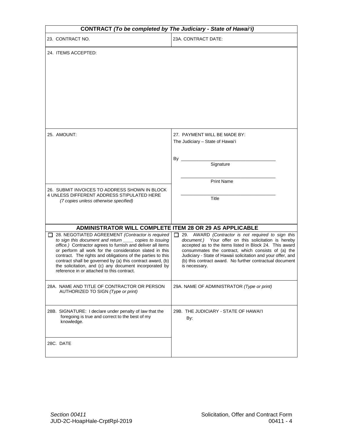| CONTRACT (To be completed by The Judiciary - State of Hawai'i)                                                                                                                                                                                                                                                                                                                                                                                                               |                                                                                                                                                                                                                                                                                                                                                                                 |
|------------------------------------------------------------------------------------------------------------------------------------------------------------------------------------------------------------------------------------------------------------------------------------------------------------------------------------------------------------------------------------------------------------------------------------------------------------------------------|---------------------------------------------------------------------------------------------------------------------------------------------------------------------------------------------------------------------------------------------------------------------------------------------------------------------------------------------------------------------------------|
| 23. CONTRACT NO.                                                                                                                                                                                                                                                                                                                                                                                                                                                             | 23A. CONTRACT DATE:                                                                                                                                                                                                                                                                                                                                                             |
| 24. ITEMS ACCEPTED:                                                                                                                                                                                                                                                                                                                                                                                                                                                          |                                                                                                                                                                                                                                                                                                                                                                                 |
| 25. AMOUNT:                                                                                                                                                                                                                                                                                                                                                                                                                                                                  | 27. PAYMENT WILL BE MADE BY:<br>The Judiciary - State of Hawai'i<br>By ________<br>Signature<br><b>Print Name</b>                                                                                                                                                                                                                                                               |
| 26. SUBMIT INVOICES TO ADDRESS SHOWN IN BLOCK<br>4 UNLESS DIFFERENT ADDRESS STIPULATED HERE<br>(7 copies unless otherwise specified)                                                                                                                                                                                                                                                                                                                                         | Title                                                                                                                                                                                                                                                                                                                                                                           |
| ADMINISTRATOR WILL COMPLETE ITEM 28 OR 29 AS APPLICABLE                                                                                                                                                                                                                                                                                                                                                                                                                      |                                                                                                                                                                                                                                                                                                                                                                                 |
| 28. NEGOTIATED AGREEMENT (Contractor is required<br>to sign this document and return _____ copies to issuing<br>office.) Contractor agrees to furnish and deliver all items<br>or perform all work for the consideration slated in this<br>contract. The rights and obligations of the parties to this<br>contract shall be governed by (a) this contract award, (b)<br>the solicitation, and (c) any document incorporated by<br>reference in or attached to this contract. | 29. AWARD (Contractor is not required to sign this<br>ĪΙ<br>document.) Your offer on this solicitation is hereby<br>accepted as to the items listed in Block 24. This award<br>consummates the contract, which consists of (a) the<br>Judiciary - State of Hawaii solicitation and your offer, and<br>(b) this contract award. No further contractual document<br>is necessary. |
| 28A. NAME AND TITLE OF CONTRACTOR OR PERSON<br>AUTHORIZED TO SIGN (Type or print)                                                                                                                                                                                                                                                                                                                                                                                            | 29A. NAME OF ADMINISTRATOR (Type or print)                                                                                                                                                                                                                                                                                                                                      |
| 28B. SIGNATURE: I declare under penalty of law that the<br>foregoing is true and correct to the best of my<br>knowledge.                                                                                                                                                                                                                                                                                                                                                     | 29B. THE JUDICIARY - STATE OF HAWAI'I<br>By:                                                                                                                                                                                                                                                                                                                                    |
| 28C. DATE                                                                                                                                                                                                                                                                                                                                                                                                                                                                    |                                                                                                                                                                                                                                                                                                                                                                                 |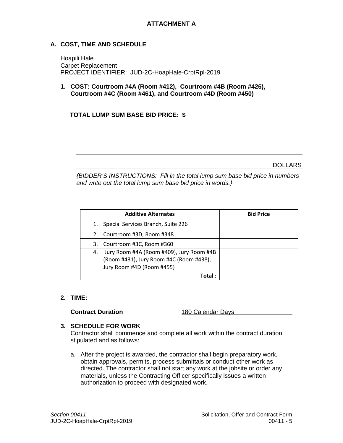## **A. COST, TIME AND SCHEDULE**

Hoapili Hale Carpet Replacement PROJECT IDENTIFIER: JUD-2C-HoapHale-CrptRpl-2019

**1. COST: Courtroom #4A (Room #412), Courtroom #4B (Room #426), Courtroom #4C (Room #461), and Courtroom #4D (Room #450)** 

## **TOTAL LUMP SUM BASE BID PRICE: \$**

DOLLARS

*{BIDDER'S INSTRUCTIONS: Fill in the total lump sum base bid price in numbers and write out the total lump sum base bid price in words.}*

|    | <b>Additive Alternates</b>               | <b>Bid Price</b> |
|----|------------------------------------------|------------------|
|    | 1. Special Services Branch, Suite 226    |                  |
|    | 2. Courtroom #3D, Room #348              |                  |
| 3. | Courtroom #3C, Room #360                 |                  |
| 4. | Jury Room #4A (Room #409), Jury Room #4B |                  |
|    | (Room #431), Jury Room #4C (Room #438),  |                  |
|    | Jury Room #4D (Room #455)                |                  |
|    | Total :                                  |                  |

## **2. TIME:**

**Contract Duration 180 Calendar Days** 

## **3. SCHEDULE FOR WORK**

Contractor shall commence and complete all work within the contract duration stipulated and as follows:

a. After the project is awarded, the contractor shall begin preparatory work, obtain approvals, permits, process submittals or conduct other work as directed. The contractor shall not start any work at the jobsite or order any materials, unless the Contracting Officer specifically issues a written authorization to proceed with designated work.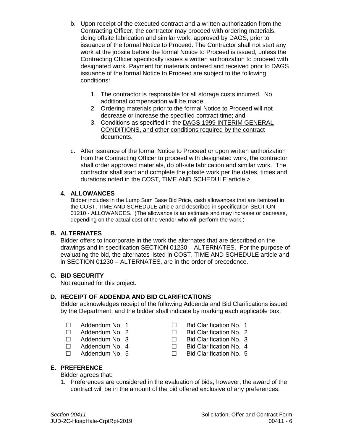- b. Upon receipt of the executed contract and a written authorization from the Contracting Officer, the contractor may proceed with ordering materials, doing offsite fabrication and similar work, approved by DAGS, prior to issuance of the formal Notice to Proceed. The Contractor shall not start any work at the jobsite before the formal Notice to Proceed is issued, unless the Contracting Officer specifically issues a written authorization to proceed with designated work. Payment for materials ordered and received prior to DAGS issuance of the formal Notice to Proceed are subject to the following conditions:
	- 1. The contractor is responsible for all storage costs incurred. No additional compensation will be made;
	- 2. Ordering materials prior to the formal Notice to Proceed will not decrease or increase the specified contract time; and
	- 3. Conditions as specified in the DAGS 1999 INTERIM GENERAL CONDITIONS, and other conditions required by the contract documents.
- c. After issuance of the formal Notice to Proceed or upon written authorization from the Contracting Officer to proceed with designated work, the contractor shall order approved materials, do off-site fabrication and similar work. The contractor shall start and complete the jobsite work per the dates, times and durations noted in the COST, TIME AND SCHEDULE article.>

## **4. ALLOWANCES**

Bidder includes in the Lump Sum Base Bid Price, cash allowances that are itemized in the COST, TIME AND SCHEDULE article and described in specification SECTION 01210 - ALLOWANCES. (The allowance is an estimate and may increase or decrease, depending on the actual cost of the vendor who will perform the work.)

## **B. ALTERNATES**

Bidder offers to incorporate in the work the alternates that are described on the drawings and in specification SECTION 01230 – ALTERNATES. For the purpose of evaluating the bid, the alternates listed in COST, TIME AND SCHEDULE article and in SECTION 01230 – ALTERNATES, are in the order of precedence.

## **C. BID SECURITY**

Not required for this project.

## **D. RECEIPT OF ADDENDA AND BID CLARIFICATIONS**

Bidder acknowledges receipt of the following Addenda and Bid Clarifications issued by the Department, and the bidder shall indicate by marking each applicable box:

- 
- 
- 
- 
- 
- □ Addendum No. 1 □ Bid Clarification No. 1
- □ Addendum No. 2 Bid Clarification No. 2<br>□ Addendum No. 3 Bid Clarification No. 3
	- Bid Clarification No. 3
- $\Box$  Addendum No. 4  $\Box$  Bid Clarification No. 4
- $\Box$  Addendum No. 5  $\Box$  Bid Clarification No. 5

## **E. PREFERENCE**

Bidder agrees that:

1. Preferences are considered in the evaluation of bids; however, the award of the contract will be in the amount of the bid offered exclusive of any preferences.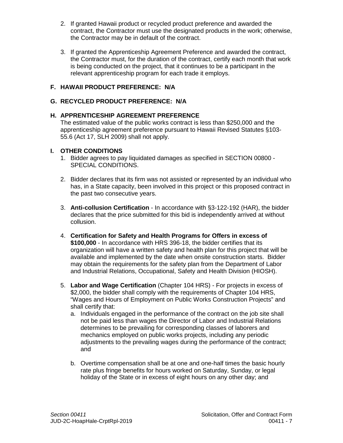- 2. If granted Hawaii product or recycled product preference and awarded the contract, the Contractor must use the designated products in the work; otherwise, the Contractor may be in default of the contract.
- 3. If granted the Apprenticeship Agreement Preference and awarded the contract, the Contractor must, for the duration of the contract, certify each month that work is being conducted on the project, that it continues to be a participant in the relevant apprenticeship program for each trade it employs.

## **F. HAWAII PRODUCT PREFERENCE: N/A**

## **G. RECYCLED PRODUCT PREFERENCE: N/A**

## **H. APPRENTICESHIP AGREEMENT PREFERENCE**

The estimated value of the public works contract is less than \$250,000 and the apprenticeship agreement preference pursuant to Hawaii Revised Statutes §103- 55.6 (Act 17, SLH 2009) shall not apply.

## **I. OTHER CONDITIONS**

- 1. Bidder agrees to pay liquidated damages as specified in SECTION 00800 SPECIAL CONDITIONS.
- 2. Bidder declares that its firm was not assisted or represented by an individual who has, in a State capacity, been involved in this project or this proposed contract in the past two consecutive years.
- 3. **Anti-collusion Certification** In accordance with §3-122-192 (HAR), the bidder declares that the price submitted for this bid is independently arrived at without collusion.
- 4. **Certification for Safety and Health Programs for Offers in excess of \$100,000** - In accordance with HRS 396-18, the bidder certifies that its organization will have a written safety and health plan for this project that will be available and implemented by the date when onsite construction starts. Bidder may obtain the requirements for the safety plan from the Department of Labor and Industrial Relations, Occupational, Safety and Health Division (HIOSH).
- 5. **Labor and Wage Certification** (Chapter 104 HRS) For projects in excess of \$2,000, the bidder shall comply with the requirements of Chapter 104 HRS, "Wages and Hours of Employment on Public Works Construction Projects" and shall certify that:
	- a. Individuals engaged in the performance of the contract on the job site shall not be paid less than wages the Director of Labor and Industrial Relations determines to be prevailing for corresponding classes of laborers and mechanics employed on public works projects, including any periodic adjustments to the prevailing wages during the performance of the contract; and
	- b. Overtime compensation shall be at one and one-half times the basic hourly rate plus fringe benefits for hours worked on Saturday, Sunday, or legal holiday of the State or in excess of eight hours on any other day; and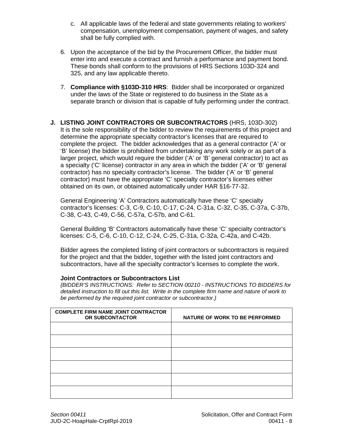- c. All applicable laws of the federal and state governments relating to workers' compensation, unemployment compensation, payment of wages, and safety shall be fully complied with.
- 6. Upon the acceptance of the bid by the Procurement Officer, the bidder must enter into and execute a contract and furnish a performance and payment bond. These bonds shall conform to the provisions of HRS Sections 103D-324 and 325, and any law applicable thereto.
- 7. **Compliance with §103D-310 HRS**: Bidder shall be incorporated or organized under the laws of the State or registered to do business in the State as a separate branch or division that is capable of fully performing under the contract.
- **J. LISTING JOINT CONTRACTORS OR SUBCONTRACTORS** (HRS, 103D-302) It is the sole responsibility of the bidder to review the requirements of this project and determine the appropriate specialty contractor's licenses that are required to complete the project. The bidder acknowledges that as a general contractor ('A' or 'B' license) the bidder is prohibited from undertaking any work solely or as part of a larger project, which would require the bidder ('A' or 'B' general contractor) to act as a specialty ('C' license) contractor in any area in which the bidder ('A' or 'B' general contractor) has no specialty contractor's license. The bidder ('A' or 'B' general contractor) must have the appropriate 'C' specialty contractor's licenses either obtained on its own, or obtained automatically under HAR §16-77-32.

General Engineering 'A' Contractors automatically have these 'C' specialty contractor's licenses: C-3, C-9, C-10, C-17, C-24, C-31a, C-32, C-35, C-37a, C-37b, C-38, C-43, C-49, C-56, C-57a, C-57b, and C-61.

General Building 'B' Contractors automatically have these 'C' specialty contractor's licenses: C-5, C-6, C-10, C-12, C-24, C-25, C-31a, C-32a, C-42a, and C-42b.

Bidder agrees the completed listing of joint contractors or subcontractors is required for the project and that the bidder, together with the listed joint contractors and subcontractors, have all the specialty contractor's licenses to complete the work.

## **Joint Contractors or Subcontractors List**

*{BIDDER'S INSTRUCTIONS: Refer to SECTION 00210 - INSTRUCTIONS TO BIDDERS for detailed instruction to fill out this list. Write in the complete firm name and nature of work to be performed by the required joint contractor or subcontractor.}*

| <b>COMPLETE FIRM NAME JOINT CONTRACTOR</b><br>OR SUBCONTACTOR | NATURE OF WORK TO BE PERFORMED |
|---------------------------------------------------------------|--------------------------------|
|                                                               |                                |
|                                                               |                                |
|                                                               |                                |
|                                                               |                                |
|                                                               |                                |
|                                                               |                                |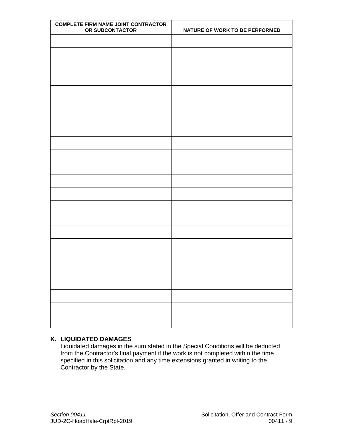| <b>COMPLETE FIRM NAME JOINT CONTRACTOR</b><br>OR SUBCONTACTOR | NATURE OF WORK TO BE PERFORMED |
|---------------------------------------------------------------|--------------------------------|
|                                                               |                                |
|                                                               |                                |
|                                                               |                                |
|                                                               |                                |
|                                                               |                                |
|                                                               |                                |
|                                                               |                                |
|                                                               |                                |
|                                                               |                                |
|                                                               |                                |
|                                                               |                                |
|                                                               |                                |
|                                                               |                                |
|                                                               |                                |
|                                                               |                                |
|                                                               |                                |
|                                                               |                                |
|                                                               |                                |
|                                                               |                                |
|                                                               |                                |
|                                                               |                                |
|                                                               |                                |
|                                                               |                                |

## **K. LIQUIDATED DAMAGES**

Liquidated damages in the sum stated in the Special Conditions will be deducted from the Contractor's final payment if the work is not completed within the time specified in this solicitation and any time extensions granted in writing to the Contractor by the State.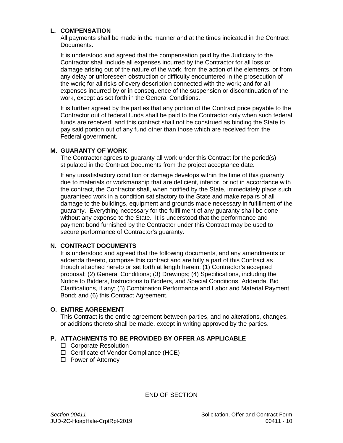## **L. COMPENSATION**

All payments shall be made in the manner and at the times indicated in the Contract Documents.

It is understood and agreed that the compensation paid by the Judiciary to the Contractor shall include all expenses incurred by the Contractor for all loss or damage arising out of the nature of the work, from the action of the elements, or from any delay or unforeseen obstruction or difficulty encountered in the prosecution of the work; for all risks of every description connected with the work; and for all expenses incurred by or in consequence of the suspension or discontinuation of the work, except as set forth in the General Conditions.

It is further agreed by the parties that any portion of the Contract price payable to the Contractor out of federal funds shall be paid to the Contractor only when such federal funds are received, and this contract shall not be construed as binding the State to pay said portion out of any fund other than those which are received from the Federal government.

## **M. GUARANTY OF WORK**

The Contractor agrees to guaranty all work under this Contract for the period(s) stipulated in the Contract Documents from the project acceptance date.

If any unsatisfactory condition or damage develops within the time of this guaranty due to materials or workmanship that are deficient, inferior, or not in accordance with the contract, the Contractor shall, when notified by the State, immediately place such guaranteed work in a condition satisfactory to the State and make repairs of all damage to the buildings, equipment and grounds made necessary in fulfillment of the guaranty. Everything necessary for the fulfillment of any guaranty shall be done without any expense to the State. It is understood that the performance and payment bond furnished by the Contractor under this Contract may be used to secure performance of Contractor's guaranty.

## **N. CONTRACT DOCUMENTS**

It is understood and agreed that the following documents, and any amendments or addenda thereto, comprise this contract and are fully a part of this Contract as though attached hereto or set forth at length herein: (1) Contractor's accepted proposal; (2) General Conditions; (3) Drawings; (4) Specifications, including the Notice to Bidders, Instructions to Bidders, and Special Conditions, Addenda, Bid Clarifications, if any; (5) Combination Performance and Labor and Material Payment Bond; and (6) this Contract Agreement.

## **O. ENTIRE AGREEMENT**

This Contract is the entire agreement between parties, and no alterations, changes, or additions thereto shall be made, except in writing approved by the parties.

## **P. ATTACHMENTS TO BE PROVIDED BY OFFER AS APPLICABLE**

- □ Corporate Resolution
- $\Box$  Certificate of Vendor Compliance (HCE)
- $\Box$  Power of Attorney

END OF SECTION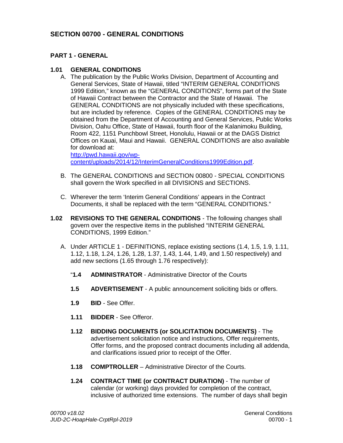## **SECTION 00700 - GENERAL CONDITIONS**

## **PART 1 - GENERAL**

#### **1.01 GENERAL CONDITIONS**

A. The publication by the Public Works Division, Department of Accounting and General Services, State of Hawaii, titled "INTERIM GENERAL CONDITIONS 1999 Edition," known as the "GENERAL CONDITIONS", forms part of the State of Hawaii Contract between the Contractor and the State of Hawaii. The GENERAL CONDITIONS are not physically included with these specifications, but are included by reference. Copies of the GENERAL CONDITIONS may be obtained from the Department of Accounting and General Services, Public Works Division, Oahu Office, State of Hawaii, fourth floor of the Kalanimoku Building, Room 422, 1151 Punchbowl Street, Honolulu, Hawaii or at the DAGS District Offices on Kauai, Maui and Hawaii. GENERAL CONDITIONS are also available for download at:

[http://pwd.hawaii.gov/wp](http://pwd.hawaii.gov/wp-content/uploads/2014/12/InterimGeneralConditions1999Edition.pdf)[content/uploads/2014/12/InterimGeneralConditions1999Edition.pdf.](http://pwd.hawaii.gov/wp-content/uploads/2014/12/InterimGeneralConditions1999Edition.pdf)

- B. The GENERAL CONDITIONS and SECTION 00800 SPECIAL CONDITIONS shall govern the Work specified in all DIVISIONS and SECTIONS.
- C. Wherever the term 'Interim General Conditions' appears in the Contract Documents, it shall be replaced with the term "GENERAL CONDITIONS."
- **1.02 REVISIONS TO THE GENERAL CONDITIONS** The following changes shall govern over the respective items in the published "INTERIM GENERAL CONDITIONS, 1999 Edition."
	- A. Under ARTICLE 1 DEFINITIONS, replace existing sections (1.4, 1.5, 1.9, 1.11, 1.12, 1.18, 1.24, 1.26, 1.28, 1.37, 1.43, 1.44, 1.49, and 1.50 respectively) and add new sections (1.65 through 1.76 respectively):
		- "**1.4 ADMINISTRATOR** Administrative Director of the Courts
		- **1.5 ADVERTISEMENT** A public announcement soliciting bids or offers.
		- **1.9 BID** See Offer.
		- **1.11 BIDDER** See Offeror.
		- **1.12 BIDDING DOCUMENTS (or SOLICITATION DOCUMENTS)** The advertisement solicitation notice and instructions, Offer requirements, Offer forms, and the proposed contract documents including all addenda, and clarifications issued prior to receipt of the Offer.
		- **1.18 COMPTROLLER** Administrative Director of the Courts.
		- **1.24 CONTRACT TIME (or CONTRACT DURATION)** The number of calendar (or working) days provided for completion of the contract, inclusive of authorized time extensions. The number of days shall begin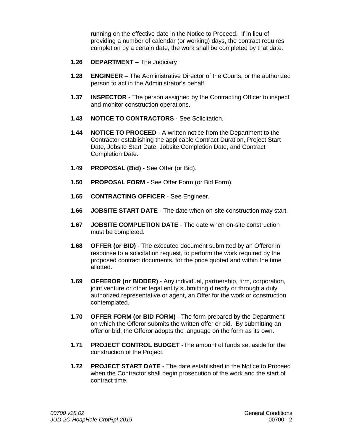running on the effective date in the Notice to Proceed. If in lieu of providing a number of calendar (or working) days, the contract requires completion by a certain date, the work shall be completed by that date.

- **1.26 DEPARTMENT** The Judiciary
- **1.28 ENGINEER** The Administrative Director of the Courts, or the authorized person to act in the Administrator's behalf.
- **1.37 INSPECTOR** The person assigned by the Contracting Officer to inspect and monitor construction operations.
- **1.43 NOTICE TO CONTRACTORS** See Solicitation.
- **1.44 NOTICE TO PROCEED** A written notice from the Department to the Contractor establishing the applicable Contract Duration, Project Start Date, Jobsite Start Date, Jobsite Completion Date, and Contract Completion Date.
- **1.49 PROPOSAL (Bid)** See Offer (or Bid).
- **1.50 PROPOSAL FORM** See Offer Form (or Bid Form).
- **1.65 CONTRACTING OFFICER** See Engineer.
- **1.66 JOBSITE START DATE** The date when on-site construction may start.
- **1.67 JOBSITE COMPLETION DATE** The date when on-site construction must be completed.
- **1.68 OFFER (or BID)** The executed document submitted by an Offeror in response to a solicitation request, to perform the work required by the proposed contract documents, for the price quoted and within the time allotted.
- **1.69 OFFEROR (or BIDDER)**  Any individual, partnership, firm, corporation, joint venture or other legal entity submitting directly or through a duly authorized representative or agent, an Offer for the work or construction contemplated.
- **1.70 OFFER FORM (or BID FORM)** The form prepared by the Department on which the Offeror submits the written offer or bid. By submitting an offer or bid, the Offeror adopts the language on the form as its own.
- **1.71 PROJECT CONTROL BUDGET** -The amount of funds set aside for the construction of the Project.
- **1.72 PROJECT START DATE** The date established in the Notice to Proceed when the Contractor shall begin prosecution of the work and the start of contract time.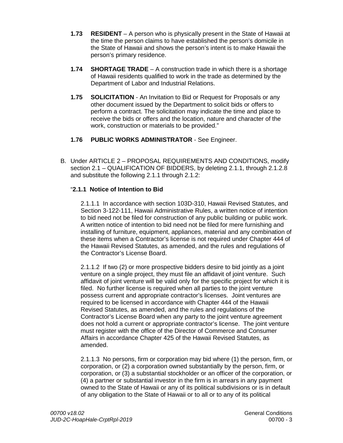- **1.73 RESIDENT**  A person who is physically present in the State of Hawaii at the time the person claims to have established the person's domicile in the State of Hawaii and shows the person's intent is to make Hawaii the person's primary residence.
- **1.74 SHORTAGE TRADE** A construction trade in which there is a shortage of Hawaii residents qualified to work in the trade as determined by the Department of Labor and Industrial Relations.
- **1.75 SOLICITATION** An Invitation to Bid or Request for Proposals or any other document issued by the Department to solicit bids or offers to perform a contract. The solicitation may indicate the time and place to receive the bids or offers and the location, nature and character of the work, construction or materials to be provided."
- **1.76 PUBLIC WORKS ADMINISTRATOR** See Engineer.
- B. Under ARTICLE 2 PROPOSAL REQUIREMENTS AND CONDITIONS, modify section 2.1 – QUALIFICATION OF BIDDERS, by deleting 2.1.1, through 2.1.2.8 and substitute the following 2.1.1 through 2.1.2:

## "**2.1.1 Notice of Intention to Bid**

2.1.1.1 In accordance with section 103D-310, Hawaii Revised Statutes, and Section 3-122-111, Hawaii Administrative Rules, a written notice of intention to bid need not be filed for construction of any public building or public work. A written notice of intention to bid need not be filed for mere furnishing and installing of furniture, equipment, appliances, material and any combination of these items when a Contractor's license is not required under Chapter 444 of the Hawaii Revised Statutes, as amended, and the rules and regulations of the Contractor's License Board.

2.1.1.2 If two (2) or more prospective bidders desire to bid jointly as a joint venture on a single project, they must file an affidavit of joint venture. Such affidavit of joint venture will be valid only for the specific project for which it is filed. No further license is required when all parties to the joint venture possess current and appropriate contractor's licenses. Joint ventures are required to be licensed in accordance with Chapter 444 of the Hawaii Revised Statutes, as amended, and the rules and regulations of the Contractor's License Board when any party to the joint venture agreement does not hold a current or appropriate contractor's license. The joint venture must register with the office of the Director of Commerce and Consumer Affairs in accordance Chapter 425 of the Hawaii Revised Statutes, as amended.

2.1.1.3 No persons, firm or corporation may bid where (1) the person, firm, or corporation, or (2) a corporation owned substantially by the person, firm, or corporation, or (3) a substantial stockholder or an officer of the corporation, or (4) a partner or substantial investor in the firm is in arrears in any payment owned to the State of Hawaii or any of its political subdivisions or is in default of any obligation to the State of Hawaii or to all or to any of its political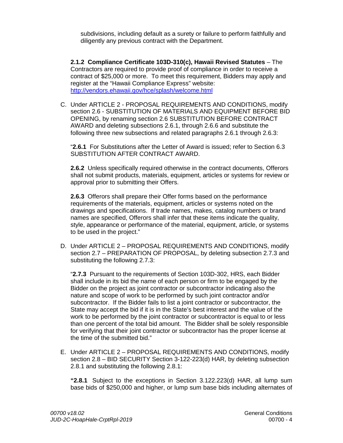subdivisions, including default as a surety or failure to perform faithfully and diligently any previous contract with the Department.

**2.1.2 Compliance Certificate 103D-310(c), Hawaii Revised Statutes** – The Contractors are required to provide proof of compliance in order to receive a contract of \$25,000 or more. To meet this requirement, Bidders may apply and register at the "Hawaii Compliance Express" website: <http://vendors.ehawaii.gov/hce/splash/welcome.html>

C. Under ARTICLE 2 - PROPOSAL REQUIREMENTS AND CONDITIONS, modify section 2.6 - SUBSTITUTION OF MATERIALS AND EQUIPMENT BEFORE BID OPENING, by renaming section 2.6 SUBSTITUTION BEFORE CONTRACT AWARD and deleting subsections 2.6.1, through 2.6.6 and substitute the following three new subsections and related paragraphs 2.6.1 through 2.6.3:

"**2.6.1** For Substitutions after the Letter of Award is issued; refer to Section 6.3 SUBSTITUTION AFTER CONTRACT AWARD.

**2.6.2** Unless specifically required otherwise in the contract documents, Offerors shall not submit products, materials, equipment, articles or systems for review or approval prior to submitting their Offers.

**2.6.3** Offerors shall prepare their Offer forms based on the performance requirements of the materials, equipment, articles or systems noted on the drawings and specifications. If trade names, makes, catalog numbers or brand names are specified, Offerors shall infer that these items indicate the quality, style, appearance or performance of the material, equipment, article, or systems to be used in the project."

D. Under ARTICLE 2 – PROPOSAL REQUIREMENTS AND CONDITIONS, modify section 2.7 – PREPARATION OF PROPOSAL, by deleting subsection 2.7.3 and substituting the following 2.7.3:

"**2.7.3** Pursuant to the requirements of Section 103D-302, HRS, each Bidder shall include in its bid the name of each person or firm to be engaged by the Bidder on the project as joint contractor or subcontractor indicating also the nature and scope of work to be performed by such joint contractor and/or subcontractor. If the Bidder fails to list a joint contractor or subcontractor, the State may accept the bid if it is in the State's best interest and the value of the work to be performed by the joint contractor or subcontractor is equal to or less than one percent of the total bid amount. The Bidder shall be solely responsible for verifying that their joint contractor or subcontractor has the proper license at the time of the submitted bid."

E. Under ARTICLE 2 – PROPOSAL REQUIREMENTS AND CONDITIONS, modify section 2.8 – BID SECURITY Section 3-122-223(d) HAR, by deleting subsection 2.8.1 and substituting the following 2.8.1:

**"2.8.1** Subject to the exceptions in Section 3.122.223(d) HAR, all lump sum base bids of \$250,000 and higher, or lump sum base bids including alternates of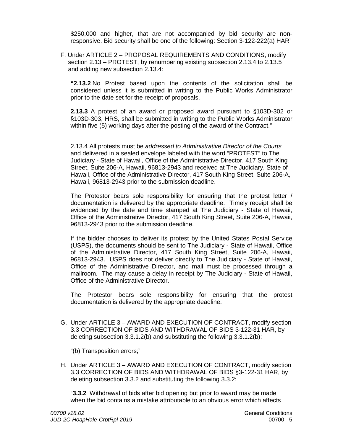\$250,000 and higher, that are not accompanied by bid security are nonresponsive. Bid security shall be one of the following: Section 3-122-222(a) HAR"

F. Under ARTICLE 2 – PROPOSAL REQUIREMENTS AND CONDITIONS, modify section 2.13 – PROTEST, by renumbering existing subsection 2.13.4 to 2.13.5 and adding new subsection 2.13.4:

**"2.13.2** No Protest based upon the contents of the solicitation shall be considered unless it is submitted in writing to the Public Works Administrator prior to the date set for the receipt of proposals.

**2.13.3** A protest of an award or proposed award pursuant to §103D-302 or §103D-303, HRS, shall be submitted in writing to the Public Works Administrator within five (5) working days after the posting of the award of the Contract."

2.13.4 All protests must be *addressed to Administrative Director of the Courts* and delivered in a sealed envelope labeled with the word "PROTEST" to The Judiciary - State of Hawaii, Office of the Administrative Director, 417 South King Street, Suite 206-A, Hawaii, 96813-2943 and received at The Judiciary, State of Hawaii, Office of the Administrative Director, 417 South King Street, Suite 206-A, Hawaii, 96813-2943 prior to the submission deadline.

The Protestor bears sole responsibility for ensuring that the protest letter / documentation is delivered by the appropriate deadline. Timely receipt shall be evidenced by the date and time stamped at The Judiciary - State of Hawaii, Office of the Administrative Director, 417 South King Street, Suite 206-A, Hawaii, 96813-2943 prior to the submission deadline.

If the bidder chooses to deliver its protest by the United States Postal Service (USPS), the documents should be sent to The Judiciary - State of Hawaii, Office of the Administrative Director, 417 South King Street, Suite 206-A, Hawaii, 96813-2943. USPS does not deliver directly to The Judiciary - State of Hawaii, Office of the Administrative Director, and mail must be processed through a mailroom. The may cause a delay in receipt by The Judiciary - State of Hawaii, Office of the Administrative Director.

The Protestor bears sole responsibility for ensuring that the protest documentation is delivered by the appropriate deadline.

G. Under ARTICLE 3 – AWARD AND EXECUTION OF CONTRACT, modify section 3.3 CORRECTION OF BIDS AND WITHDRAWAL OF BIDS 3-122-31 HAR, by deleting subsection 3.3.1.2(b) and substituting the following 3.3.1.2(b):

"(b) Transposition errors;"

H. Under ARTICLE 3 – AWARD AND EXECUTION OF CONTRACT, modify section 3.3 CORRECTION OF BIDS AND WITHDRAWAL OF BIDS §3-122-31 HAR, by deleting subsection 3.3.2 and substituting the following 3.3.2:

"**3.3.2** Withdrawal of bids after bid opening but prior to award may be made when the bid contains a mistake attributable to an obvious error which affects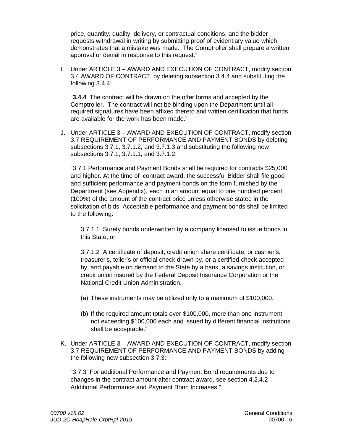price, quantity, quality, delivery, or contractual conditions, and the bidder requests withdrawal in writing by submitting proof of evidentiary value which demonstrates that a mistake was made. The Comptroller shall prepare a written approval or denial in response to this request."

I. Under ARTICLE 3 – AWARD AND EXECUTION OF CONTRACT, modify section 3.4 AWARD OF CONTRACT, by deleting subsection 3.4.4 and substituting the following 3.4.4:

"**3.4.4** The contract will be drawn on the offer forms and accepted by the Comptroller. The contract will not be binding upon the Department until all required signatures have been affixed thereto and written certification that funds are available for the work has been made."

J. Under ARTICLE 3 – AWARD AND EXECUTION OF CONTRACT, modify section 3.7 REQUIREMENT OF PERFORMANCE AND PAYMENT BONDS by deleting subsections 3.7.1, 3.7.1.2, and 3.7.1.3 and substituting the following new subsections 3.7.1, 3.7.1.1, and 3.7.1.2:

"3.7.1 Performance and Payment Bonds shall be required for contracts \$25,000 and higher. At the time of contract award, the successful Bidder shall file good and sufficient performance and payment bonds on the form furnished by the Department (see Appendix), each in an amount equal to one hundred percent (100%) of the amount of the contract price unless otherwise stated in the solicitation of bids. Acceptable performance and payment bonds shall be limited to the following:

3.7.1.1 Surety bonds underwritten by a company licensed to issue bonds in this State; or

3.7.1.2 A certificate of deposit; credit union share certificate; or cashier's, treasurer's, teller's or official check drawn by, or a certified check accepted by, and payable on demand to the State by a bank, a savings institution, or credit union insured by the Federal Deposit Insurance Corporation or the National Credit Union Administration.

- (a) These instruments may be utilized only to a maximum of \$100,000.
- (b) If the required amount totals over \$100,000, more than one instrument not exceeding \$100,000 each and issued by different financial institutions shall be acceptable."
- K. Under ARTICLE 3 AWARD AND EXECUTION OF CONTRACT, modify section 3.7 REQUIREMENT OF PERFORMANCE AND PAYMENT BONDS by adding the following new subsection 3.7.3:

"3.7.3 For additional Performance and Payment Bond requirements due to changes in the contract amount after contract award, see section 4.2.4.2 Additional Performance and Payment Bond Increases."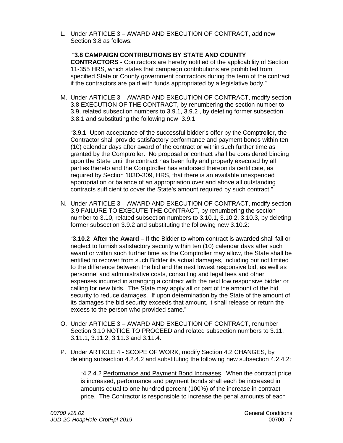L. Under ARTICLE 3 – AWARD AND EXECUTION OF CONTRACT, add new Section 3.8 as follows:

"**3.8 CAMPAIGN CONTRIBUTIONS BY STATE AND COUNTY CONTRACTORS** - Contractors are hereby notified of the applicability of Section 11-355 HRS, which states that campaign contributions are prohibited from specified State or County government contractors during the term of the contract if the contractors are paid with funds appropriated by a legislative body."

M. Under ARTICLE 3 – AWARD AND EXECUTION OF CONTRACT, modify section 3.8 EXECUTION OF THE CONTRACT, by renumbering the section number to 3.9, related subsection numbers to 3.9.1, 3.9.2 , by deleting former subsection 3.8.1 and substituting the following new 3.9.1:

"**3.9.1** Upon acceptance of the successful bidder's offer by the Comptroller, the Contractor shall provide satisfactory performance and payment bonds within ten (10) calendar days after award of the contract or within such further time as granted by the Comptroller. No proposal or contract shall be considered binding upon the State until the contract has been fully and properly executed by all parties thereto and the Comptroller has endorsed thereon its certificate, as required by Section 103D-309, HRS, that there is an available unexpended appropriation or balance of an appropriation over and above all outstanding contracts sufficient to cover the State's amount required by such contract."

N. Under ARTICLE 3 – AWARD AND EXECUTION OF CONTRACT, modify section 3.9 FAILURE TO EXECUTE THE CONTRACT, by renumbering the section number to 3.10, related subsection numbers to 3.10.1, 3.10.2, 3.10.3, by deleting former subsection 3.9.2 and substituting the following new 3.10.2:

"**3.10.2 After the Award** – If the Bidder to whom contract is awarded shall fail or neglect to furnish satisfactory security within ten (10) calendar days after such award or within such further time as the Comptroller may allow, the State shall be entitled to recover from such Bidder its actual damages, including but not limited to the difference between the bid and the next lowest responsive bid, as well as personnel and administrative costs, consulting and legal fees and other expenses incurred in arranging a contract with the next low responsive bidder or calling for new bids. The State may apply all or part of the amount of the bid security to reduce damages. If upon determination by the State of the amount of its damages the bid security exceeds that amount, it shall release or return the excess to the person who provided same."

- O. Under ARTICLE 3 AWARD AND EXECUTION OF CONTRACT, renumber Section 3.10 NOTICE TO PROCEED and related subsection numbers to 3.11, 3.11.1, 3.11.2, 3.11.3 and 3.11.4.
- P. Under ARTICLE 4 SCOPE OF WORK, modify Section 4.2 CHANGES, by deleting subsection 4.2.4.2 and substituting the following new subsection 4.2.4.2:

"4.2.4.2 Performance and Payment Bond Increases. When the contract price is increased, performance and payment bonds shall each be increased in amounts equal to one hundred percent (100%) of the increase in contract price. The Contractor is responsible to increase the penal amounts of each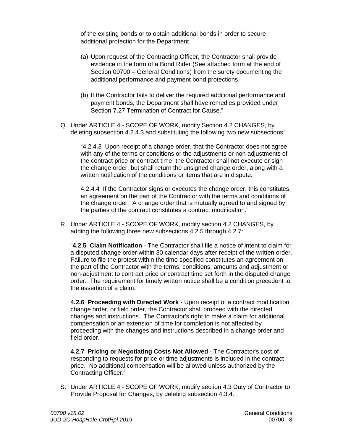of the existing bonds or to obtain additional bonds in order to secure additional protection for the Department.

- (a) Upon request of the Contracting Officer, the Contractor shall provide evidence in the form of a Bond Rider (See attached form at the end of Section 00700 – General Conditions) from the surety documenting the additional performance and payment bond protections.
- (b) If the Contractor fails to deliver the required additional performance and payment bonds, the Department shall have remedies provided under Section 7.27 Termination of Contract for Cause."
- Q. Under ARTICLE 4 SCOPE OF WORK, modify Section 4.2 CHANGES, by deleting subsection 4.2.4.3 and substituting the following two new subsections:

"4.2.4.3 Upon receipt of a change order, that the Contractor does not agree with any of the terms or conditions or the adjustments or non adjustments of the contract price or contract time; the Contractor shall not execute or sign the change order, but shall return the unsigned change order, along with a written notification of the conditions or items that are in dispute.

4.2.4.4 If the Contractor signs or executes the change order, this constitutes an agreement on the part of the Contractor with the terms and conditions of the change order. A change order that is mutually agreed to and signed by the parties of the contract constitutes a contract modification."

R. Under ARTICLE 4 - SCOPE OF WORK, modify section 4.2 CHANGES, by adding the following three new subsections 4.2.5 through 4.2.7:

"**4.2.5 Claim Notification** - The Contractor shall file a notice of intent to claim for a disputed change order within 30 calendar days after receipt of the written order. Failure to file the protest within the time specified constitutes an agreement on the part of the Contractor with the terms, conditions, amounts and adjustment or non-adjustment to contract price or contract time set forth in the disputed change order. The requirement for timely written notice shall be a condition precedent to the assertion of a claim.

**4.2.6 Proceeding with Directed Work** - Upon receipt of a contract modification, change order, or field order, the Contractor shall proceed with the directed changes and instructions. The Contractor's right to make a claim for additional compensation or an extension of time for completion is not affected by proceeding with the changes and instructions described in a change order and field order.

**4.2.7 Pricing or Negotiating Costs Not Allowed** - The Contractor's cost of responding to requests for price or time adjustments is included in the contract price. No additional compensation will be allowed unless authorized by the Contracting Officer."

S. Under ARTICLE 4 - SCOPE OF WORK, modify section 4.3 Duty of Contractor to Provide Proposal for Changes, by deleting subsection 4.3.4.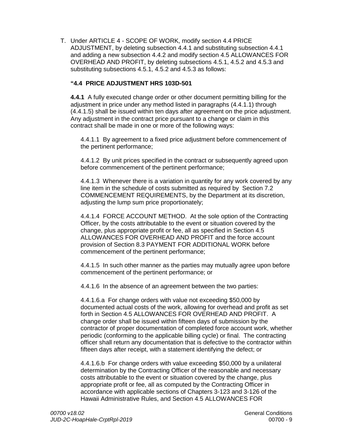T. Under ARTICLE 4 - SCOPE OF WORK, modify section 4.4 PRICE ADJUSTMENT, by deleting subsection 4.4.1 and substituting subsection 4.4.1 and adding a new subsection 4.4.2 and modify section 4.5 ALLOWANCES FOR OVERHEAD AND PROFIT, by deleting subsections 4.5.1, 4.5.2 and 4.5.3 and substituting subsections 4.5.1, 4.5.2 and 4.5.3 as follows:

## **"4.4 PRICE ADJUSTMENT HRS 103D-501**

**4.4.1** A fully executed change order or other document permitting billing for the adjustment in price under any method listed in paragraphs (4.4.1.1) through (4.4.1.5) shall be issued within ten days after agreement on the price adjustment. Any adjustment in the contract price pursuant to a change or claim in this contract shall be made in one or more of the following ways:

4.4.1.1 By agreement to a fixed price adjustment before commencement of the pertinent performance;

4.4.1.2 By unit prices specified in the contract or subsequently agreed upon before commencement of the pertinent performance;

4.4.1.3 Whenever there is a variation in quantity for any work covered by any line item in the schedule of costs submitted as required by Section 7.2 COMMENCEMENT REQUIREMENTS, by the Department at its discretion, adjusting the lump sum price proportionately;

4.4.1.4 FORCE ACCOUNT METHOD. At the sole option of the Contracting Officer, by the costs attributable to the event or situation covered by the change, plus appropriate profit or fee, all as specified in Section 4.5 ALLOWANCES FOR OVERHEAD AND PROFIT and the force account provision of Section 8.3 PAYMENT FOR ADDITIONAL WORK before commencement of the pertinent performance;

4.4.1.5 In such other manner as the parties may mutually agree upon before commencement of the pertinent performance; or

4.4.1.6 In the absence of an agreement between the two parties:

4.4.1.6.a For change orders with value not exceeding \$50,000 by documented actual costs of the work, allowing for overhead and profit as set forth in Section 4.5 ALLOWANCES FOR OVERHEAD AND PROFIT. A change order shall be issued within fifteen days of submission by the contractor of proper documentation of completed force account work, whether periodic (conforming to the applicable billing cycle) or final. The contracting officer shall return any documentation that is defective to the contractor within fifteen days after receipt, with a statement identifying the defect; or

4.4.1.6.b For change orders with value exceeding \$50,000 by a unilateral determination by the Contracting Officer of the reasonable and necessary costs attributable to the event or situation covered by the change, plus appropriate profit or fee, all as computed by the Contracting Officer in accordance with applicable sections of Chapters 3-123 and 3-126 of the Hawaii Administrative Rules, and Section 4.5 ALLOWANCES FOR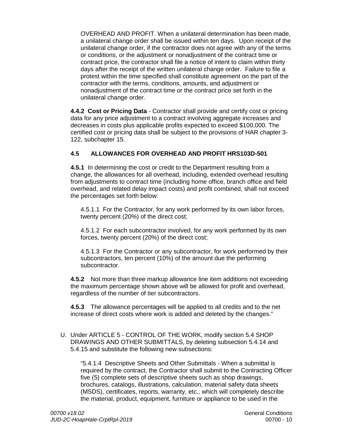OVERHEAD AND PROFIT. When a unilateral determination has been made, a unilateral change order shall be issued within ten days. Upon receipt of the unilateral change order, if the contractor does not agree with any of the terms or conditions, or the adjustment or nonadjustment of the contract time or contract price, the contractor shall file a notice of intent to claim within thirty days after the receipt of the written unilateral change order. Failure to file a protest within the time specified shall constitute agreement on the part of the contractor with the terms, conditions, amounts, and adjustment or nonadjustment of the contract time or the contract price set forth in the unilateral change order.

**4.4.2 Cost or Pricing Data** - Contractor shall provide and certify cost or pricing data for any price adjustment to a contract involving aggregate increases and decreases in costs plus applicable profits expected to exceed \$100,000. The certified cost or pricing data shall be subject to the provisions of HAR chapter 3- 122, subchapter 15.

## **4.5 ALLOWANCES FOR OVERHEAD AND PROFIT HRS103D-501**

**4.5.1** In determining the cost or credit to the Department resulting from a change, the allowances for all overhead, including, extended overhead resulting from adjustments to contract time (including home office, branch office and field overhead, and related delay impact costs) and profit combined, shall not exceed the percentages set forth below:

4.5.1.1 For the Contractor, for any work performed by its own labor forces, twenty percent (20%) of the direct cost;

4.5.1.2 For each subcontractor involved, for any work performed by its own forces, twenty percent (20%) of the direct cost;

4.5.1.3 For the Contractor or any subcontractor, for work performed by their subcontractors, ten percent (10%) of the amount due the performing subcontractor.

**4.5.2** Not more than three markup allowance line item additions not exceeding the maximum percentage shown above will be allowed for profit and overhead, regardless of the number of tier subcontractors.

**4.5.3** The allowance percentages will be applied to all credits and to the net increase of direct costs where work is added and deleted by the changes."

U. Under ARTICLE 5 - CONTROL OF THE WORK, modify section 5.4 SHOP DRAWINGS AND OTHER SUBMITTALS, by deleting subsection 5.4.14 and 5.4.15 and substitute the following new subsections:

"5.4.1.4 Descriptive Sheets and Other Submittals - When a submittal is required by the contract, the Contractor shall submit to the Contracting Officer five (5) complete sets of descriptive sheets such as shop drawings, brochures, catalogs, illustrations, calculation, material safety data sheets (MSDS), certificates, reports, warranty, etc., which will completely describe the material, product, equipment, furniture or appliance to be used in the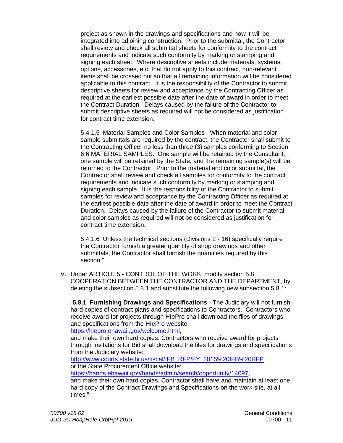project as shown in the drawings and specifications and how it will be integrated into adjoining construction. Prior to the submittal, the Contractor shall review and check all submittal sheets for conformity to the contract requirements and indicate such conformity by marking or stamping and signing each sheet. Where descriptive sheets include materials, systems, options, accessories, etc. that do not apply to this contract, non-relevant items shall be crossed out so that all remaining information will be considered applicable to this contract. It is the responsibility of the Contractor to submit descriptive sheets for review and acceptance by the Contracting Officer as required at the earliest possible date after the date of award in order to meet the Contract Duration. Delays caused by the failure of the Contractor to submit descriptive sheets as required will not be considered as justification for contract time extension.

5.4.1.5 Material Samples and Color Samples - When material and color sample submittals are required by the contract, the Contractor shall submit to the Contracting Officer no less than three (3) samples conforming to Section 6.6 MATERIAL SAMPLES. One sample will be retained by the Consultant, one sample will be retained by the State, and the remaining sample(s) will be returned to the Contractor. Prior to the material and color submittal, the Contractor shall review and check all samples for conformity to the contract requirements and indicate such conformity by marking or stamping and signing each sample. It is the responsibility of the Contractor to submit samples for review and acceptance by the Contracting Officer as required at the earliest possible date after the date of award in order to meet the Contract Duration. Delays caused by the failure of the Contractor to submit material and color samples as required will not be considered as justification for contract time extension.

5.4.1.6 Unless the technical sections (Divisions 2 - 16) specifically require the Contractor furnish a greater quantity of shop drawings and other submittals, the Contractor shall furnish the quantities required by this section."

V. Under ARTICLE 5 - CONTROL OF THE WORK, modify section 5.8 COOPERATION BETWEEN THE CONTRACTOR AND THE DEPARTMENT, by deleting the subsection 5.8.1 and substitute the following new subsection 5.8.1:

"**5.8.1 Furnishing Drawings and Specifications** - The Judiciary will not furnish hard copies of contract plans and specifications to Contractors. Contractors who receive award for projects through HIePro shall download the files of drawings and specifications from the HIePro website:

[https://hiepro.ehawaii.gov/welcome.html,](https://hiepro.ehawaii.gov/welcome.html)

and make their own hard copies. Contractors who receive award for projects through Invitations for Bid shall download the files for drawings and specifications from the Judiciary website:

[http://www.courts.state.hi.us/fiscal/IFB\\_RFP/FY\\_2015%20IFB%20RFP](http://www.courts.state.hi.us/fiscal/IFB_RFP/FY_2015%20IFB%20RFP) or the State Procurement Office website:

https://hands.ehawaii.gov/hands/admin/search/opportunity/14097

and make their own hard copies. Contractor shall have and maintain at least one hard copy of the Contract Drawings and Specifications on the work site, at all times."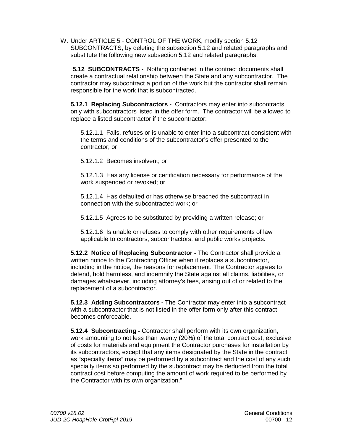W. Under ARTICLE 5 - CONTROL OF THE WORK, modify section 5.12 SUBCONTRACTS, by deleting the subsection 5.12 and related paragraphs and substitute the following new subsection 5.12 and related paragraphs:

"**5.12 SUBCONTRACTS -** Nothing contained in the contract documents shall create a contractual relationship between the State and any subcontractor. The contractor may subcontract a portion of the work but the contractor shall remain responsible for the work that is subcontracted.

**5.12.1 Replacing Subcontractors -** Contractors may enter into subcontracts only with subcontractors listed in the offer form. The contractor will be allowed to replace a listed subcontractor if the subcontractor:

5.12.1.1 Fails, refuses or is unable to enter into a subcontract consistent with the terms and conditions of the subcontractor's offer presented to the contractor; or

5.12.1.2 Becomes insolvent; or

5.12.1.3 Has any license or certification necessary for performance of the work suspended or revoked; or

5.12.1.4 Has defaulted or has otherwise breached the subcontract in connection with the subcontracted work; or

5.12.1.5 Agrees to be substituted by providing a written release; or

5.12.1.6 Is unable or refuses to comply with other requirements of law applicable to contractors, subcontractors, and public works projects.

**5.12.2 Notice of Replacing Subcontractor -** The Contractor shall provide a written notice to the Contracting Officer when it replaces a subcontractor, including in the notice, the reasons for replacement. The Contractor agrees to defend, hold harmless, and indemnify the State against all claims, liabilities, or damages whatsoever, including attorney's fees, arising out of or related to the replacement of a subcontractor.

**5.12.3 Adding Subcontractors -** The Contractor may enter into a subcontract with a subcontractor that is not listed in the offer form only after this contract becomes enforceable.

**5.12.4 Subcontracting -** Contractor shall perform with its own organization, work amounting to not less than twenty (20%) of the total contract cost, exclusive of costs for materials and equipment the Contractor purchases for installation by its subcontractors, except that any items designated by the State in the contract as "specialty items" may be performed by a subcontract and the cost of any such specialty items so performed by the subcontract may be deducted from the total contract cost before computing the amount of work required to be performed by the Contractor with its own organization."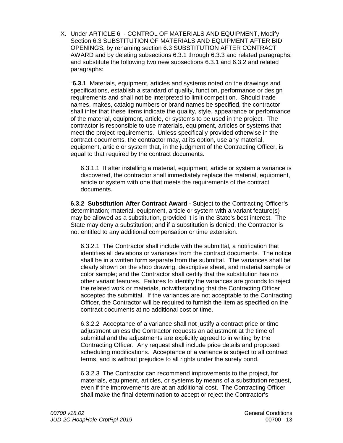X. Under ARTICLE 6 - CONTROL OF MATERIALS AND EQUIPMENT, Modify Section 6.3 SUBSTITUTION OF MATERIALS AND EQUIPMENT AFTER BID OPENINGS, by renaming section 6.3 SUBSTITUTION AFTER CONTRACT AWARD and by deleting subsections 6.3.1 through 6.3.3 and related paragraphs, and substitute the following two new subsections 6.3.1 and 6.3.2 and related paragraphs:

"**6.3.1** Materials, equipment, articles and systems noted on the drawings and specifications, establish a standard of quality, function, performance or design requirements and shall not be interpreted to limit competition. Should trade names, makes, catalog numbers or brand names be specified, the contractor shall infer that these items indicate the quality, style, appearance or performance of the material, equipment, article, or systems to be used in the project. The contractor is responsible to use materials, equipment, articles or systems that meet the project requirements. Unless specifically provided otherwise in the contract documents, the contractor may, at its option, use any material, equipment, article or system that, in the judgment of the Contracting Officer, is equal to that required by the contract documents.

6.3.1.1 If after installing a material, equipment, article or system a variance is discovered, the contractor shall immediately replace the material, equipment, article or system with one that meets the requirements of the contract documents.

**6.3.2 Substitution After Contract Award** - Subject to the Contracting Officer's determination; material, equipment, article or system with a variant feature(s) may be allowed as a substitution, provided it is in the State's best interest. The State may deny a substitution; and if a substitution is denied, the Contractor is not entitled to any additional compensation or time extension.

6.3.2.1 The Contractor shall include with the submittal, a notification that identifies all deviations or variances from the contract documents. The notice shall be in a written form separate from the submittal. The variances shall be clearly shown on the shop drawing, descriptive sheet, and material sample or color sample; and the Contractor shall certify that the substitution has no other variant features. Failures to identify the variances are grounds to reject the related work or materials, notwithstanding that the Contracting Officer accepted the submittal. If the variances are not acceptable to the Contracting Officer, the Contractor will be required to furnish the item as specified on the contract documents at no additional cost or time.

6.3.2.2 Acceptance of a variance shall not justify a contract price or time adjustment unless the Contractor requests an adjustment at the time of submittal and the adjustments are explicitly agreed to in writing by the Contracting Officer. Any request shall include price details and proposed scheduling modifications. Acceptance of a variance is subject to all contract terms, and is without prejudice to all rights under the surety bond.

6.3.2.3 The Contractor can recommend improvements to the project, for materials, equipment, articles, or systems by means of a substitution request, even if the improvements are at an additional cost. The Contracting Officer shall make the final determination to accept or reject the Contractor's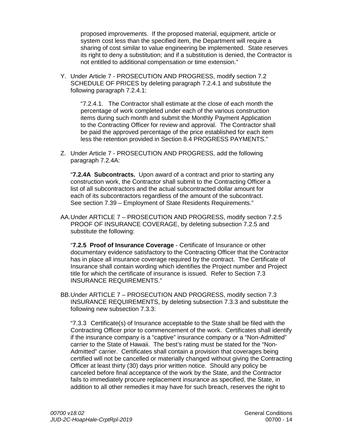proposed improvements. If the proposed material, equipment, article or system cost less than the specified item, the Department will require a sharing of cost similar to value engineering be implemented. State reserves its right to deny a substitution; and if a substitution is denied, the Contractor is not entitled to additional compensation or time extension."

Y. Under Article 7 - PROSECUTION AND PROGRESS, modify section 7.2 SCHEDULE OF PRICES by deleting paragraph 7.2.4.1 and substitute the following paragraph 7.2.4.1:

"7.2.4.1. The Contractor shall estimate at the close of each month the percentage of work completed under each of the various construction items during such month and submit the Monthly Payment Application to the Contracting Officer for review and approval. The Contractor shall be paid the approved percentage of the price established for each item less the retention provided in Section 8.4 PROGRESS PAYMENTS."

Z. Under Article 7 - PROSECUTION AND PROGRESS, add the following paragraph 7.2.4A:

"**7.2.4A Subcontracts.** Upon award of a contract and prior to starting any construction work, the Contractor shall submit to the Contracting Officer a list of all subcontractors and the actual subcontracted dollar amount for each of its subcontractors regardless of the amount of the subcontract. See section 7.39 – Employment of State Residents Requirements."

AA.Under ARTICLE 7 – PROSECUTION AND PROGRESS, modify section 7.2.5 PROOF OF INSURANCE COVERAGE, by deleting subsection 7.2.5 and substitute the following:

"**7.2.5 Proof of Insurance Coverage** - Certificate of Insurance or other documentary evidence satisfactory to the Contracting Officer that the Contractor has in place all insurance coverage required by the contract. The Certificate of Insurance shall contain wording which identifies the Project number and Project title for which the certificate of insurance is issued. Refer to Section 7.3 INSURANCE REQUIREMENTS."

BB.Under ARTICLE 7 – PROSECUTION AND PROGRESS, modify section 7.3 INSURANCE REQUIREMENTS, by deleting subsection 7.3.3 and substitute the following new subsection 7.3.3:

"7.3.3 Certificate(s) of Insurance acceptable to the State shall be filed with the Contracting Officer prior to commencement of the work. Certificates shall identify if the insurance company is a "captive" insurance company or a "Non-Admitted" carrier to the State of Hawaii. The best's rating must be stated for the "Non-Admitted" carrier. Certificates shall contain a provision that coverages being certified will not be cancelled or materially changed without giving the Contracting Officer at least thirty (30) days prior written notice. Should any policy be canceled before final acceptance of the work by the State, and the Contractor fails to immediately procure replacement insurance as specified, the State, in addition to all other remedies it may have for such breach, reserves the right to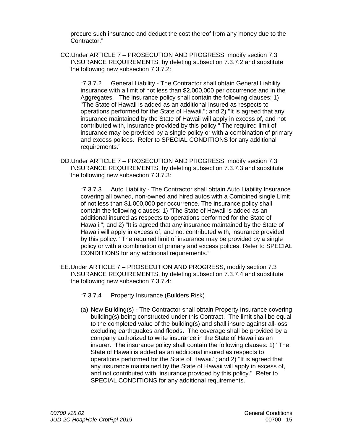procure such insurance and deduct the cost thereof from any money due to the Contractor."

CC.Under ARTICLE 7 – PROSECUTION AND PROGRESS, modify section 7.3 INSURANCE REQUIREMENTS, by deleting subsection 7.3.7.2 and substitute the following new subsection 7.3.7.2:

"7.3.7.2 General Liability - The Contractor shall obtain General Liability insurance with a limit of not less than \$2,000,000 per occurrence and in the Aggregates. The insurance policy shall contain the following clauses: 1) "The State of Hawaii is added as an additional insured as respects to operations performed for the State of Hawaii."; and 2) "It is agreed that any insurance maintained by the State of Hawaii will apply in excess of, and not contributed with, insurance provided by this policy." The required limit of insurance may be provided by a single policy or with a combination of primary and excess polices. Refer to SPECIAL CONDITIONS for any additional requirements."

DD.Under ARTICLE 7 – PROSECUTION AND PROGRESS, modify section 7.3 INSURANCE REQUIREMENTS, by deleting subsection 7.3.7.3 and substitute the following new subsection 7.3.7.3:

"7.3.7.3 Auto Liability - The Contractor shall obtain Auto Liability Insurance covering all owned, non-owned and hired autos with a Combined single Limit of not less than \$1,000,000 per occurrence. The insurance policy shall contain the following clauses: 1) "The State of Hawaii is added as an additional insured as respects to operations performed for the State of Hawaii."; and 2) "It is agreed that any insurance maintained by the State of Hawaii will apply in excess of, and not contributed with, insurance provided by this policy." The required limit of insurance may be provided by a single policy or with a combination of primary and excess polices. Refer to SPECIAL CONDITIONS for any additional requirements."

- EE.Under ARTICLE 7 PROSECUTION AND PROGRESS, modify section 7.3 INSURANCE REQUIREMENTS, by deleting subsection 7.3.7.4 and substitute the following new subsection 7.3.7.4:
	- "7.3.7.4 Property Insurance (Builders Risk)
	- (a) New Building(s) The Contractor shall obtain Property Insurance covering building(s) being constructed under this Contract. The limit shall be equal to the completed value of the building(s) and shall insure against all-loss excluding earthquakes and floods. The coverage shall be provided by a company authorized to write insurance in the State of Hawaii as an insurer. The insurance policy shall contain the following clauses: 1) "The State of Hawaii is added as an additional insured as respects to operations performed for the State of Hawaii."; and 2) "It is agreed that any insurance maintained by the State of Hawaii will apply in excess of, and not contributed with, insurance provided by this policy." Refer to SPECIAL CONDITIONS for any additional requirements.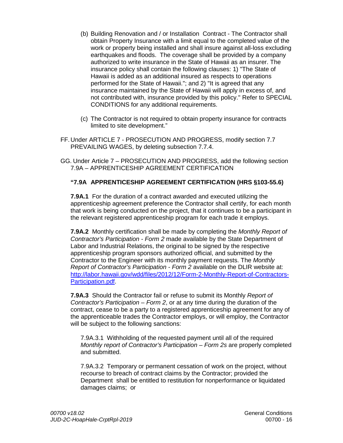- (b) Building Renovation and / or Installation Contract The Contractor shall obtain Property Insurance with a limit equal to the completed value of the work or property being installed and shall insure against all-loss excluding earthquakes and floods. The coverage shall be provided by a company authorized to write insurance in the State of Hawaii as an insurer. The insurance policy shall contain the following clauses: 1) "The State of Hawaii is added as an additional insured as respects to operations performed for the State of Hawaii."; and 2) "It is agreed that any insurance maintained by the State of Hawaii will apply in excess of, and not contributed with, insurance provided by this policy." Refer to SPECIAL CONDITIONS for any additional requirements.
- (c) The Contractor is not required to obtain property insurance for contracts limited to site development."
- FF.Under ARTICLE 7 PROSECUTION AND PROGRESS, modify section 7.7 PREVAILING WAGES, by deleting subsection 7.7.4.
- GG. Under Article 7 PROSECUTION AND PROGRESS, add the following section 7.9A – APPRENTICESHIP AGREEMENT CERTIFICATION

# **"7.9A APPRENTICESHIP AGREEMENT CERTIFICATION (HRS §103-55.6)**

**7.9A.1** For the duration of a contract awarded and executed utilizing the apprenticeship agreement preference the Contractor shall certify, for each month that work is being conducted on the project, that it continues to be a participant in the relevant registered apprenticeship program for each trade it employs.

**7.9A.2** Monthly certification shall be made by completing the *Monthly Report of Contractor's Participation - Form 2* made available by the State Department of Labor and Industrial Relations, the original to be signed by the respective apprenticeship program sponsors authorized official, and submitted by the Contractor to the Engineer with its monthly payment requests. The *Monthly Report of Contractor's Participation - Form 2* available on the DLIR website at: [http://labor.hawaii.gov/wdd/files/2012/12/Form-2-Monthly-Report-of-Contractors-](http://labor.hawaii.gov/wdd/files/2012/12/Form-2-Monthly-Report-of-Contractors-Participation.pdf)[Participation.pdf.](http://labor.hawaii.gov/wdd/files/2012/12/Form-2-Monthly-Report-of-Contractors-Participation.pdf)

**7.9A.3** Should the Contractor fail or refuse to submit its Monthly *Report of Contractor's Participation – Form 2*, or at any time during the duration of the contract, cease to be a party to a registered apprenticeship agreement for any of the apprenticeable trades the Contractor employs, or will employ, the Contractor will be subject to the following sanctions:

7.9A.3.1 Withholding of the requested payment until all of the required *Monthly report of Contractor's Participation – Form 2s are properly completed* and submitted.

7.9A.3.2 Temporary or permanent cessation of work on the project, without recourse to breach of contract claims by the Contractor; provided the Department shall be entitled to restitution for nonperformance or liquidated damages claims; or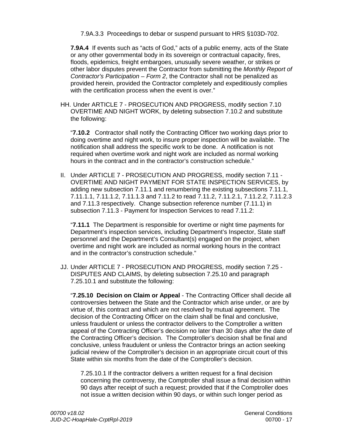7.9A.3.3 Proceedings to debar or suspend pursuant to HRS §103D-702.

**7.9A.4** If events such as "acts of God," acts of a public enemy, acts of the State or any other governmental body in its sovereign or contractual capacity, fires, floods, epidemics, freight embargoes, unusually severe weather, or strikes or other labor disputes prevent the Contractor from submitting the *Monthly Report of Contractor's Participation – Form 2*, the Contractor shall not be penalized as provided herein, provided the Contractor completely and expeditiously complies with the certification process when the event is over."

HH. Under ARTICLE 7 - PROSECUTION AND PROGRESS, modify section 7.10 OVERTIME AND NIGHT WORK, by deleting subsection 7.10.2 and substitute the following:

"**7.10.2** Contractor shall notify the Contracting Officer two working days prior to doing overtime and night work, to insure proper inspection will be available. The notification shall address the specific work to be done. A notification is not required when overtime work and night work are included as normal working hours in the contract and in the contractor's construction schedule."

II. Under ARTICLE 7 - PROSECUTION AND PROGRESS, modify section 7.11 - OVERTIME AND NIGHT PAYMENT FOR STATE INSPECTION SERVICES, by adding new subsection 7.11.1 and renumbering the existing subsections 7.11.1, 7.11.1.1, 7.11.1.2, 7.11.1.3 and 7.11.2 to read 7.11.2, 7.11.2.1, 7.11.2.2, 7.11.2.3 and 7.11.3 respectively. Change subsection reference number (7.11.1) in subsection 7.11.3 - Payment for Inspection Services to read 7.11.2:

"**7.11.1** The Department is responsible for overtime or night time payments for Department's inspection services, including Department's Inspector, State staff personnel and the Department's Consultant(s) engaged on the project, when overtime and night work are included as normal working hours in the contract and in the contractor's construction schedule."

JJ. Under ARTICLE 7 - PROSECUTION AND PROGRESS, modify section 7.25 - DISPUTES AND CLAIMS, by deleting subsection 7.25.10 and paragraph 7.25.10.1 and substitute the following:

"**7.25.10 Decision on Claim or Appeal** - The Contracting Officer shall decide all controversies between the State and the Contractor which arise under, or are by virtue of, this contract and which are not resolved by mutual agreement. The decision of the Contracting Officer on the claim shall be final and conclusive, unless fraudulent or unless the contractor delivers to the Comptroller a written appeal of the Contracting Officer's decision no later than 30 days after the date of the Contracting Officer's decision. The Comptroller's decision shall be final and conclusive, unless fraudulent or unless the Contractor brings an action seeking judicial review of the Comptroller's decision in an appropriate circuit court of this State within six months from the date of the Comptroller's decision.

7.25.10.1 If the contractor delivers a written request for a final decision concerning the controversy, the Comptroller shall issue a final decision within 90 days after receipt of such a request; provided that if the Comptroller does not issue a written decision within 90 days, or within such longer period as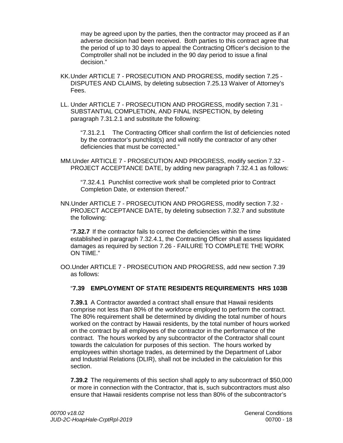may be agreed upon by the parties, then the contractor may proceed as if an adverse decision had been received. Both parties to this contract agree that the period of up to 30 days to appeal the Contracting Officer's decision to the Comptroller shall not be included in the 90 day period to issue a final decision."

- KK.Under ARTICLE 7 PROSECUTION AND PROGRESS, modify section 7.25 DISPUTES AND CLAIMS, by deleting subsection 7.25.13 Waiver of Attorney's Fees.
- LL. Under ARTICLE 7 PROSECUTION AND PROGRESS, modify section 7.31 SUBSTANTIAL COMPLETION, AND FINAL INSPECTION, by deleting paragraph 7.31.2.1 and substitute the following:

"7.31.2.1 The Contracting Officer shall confirm the list of deficiencies noted by the contractor's punchlist(s) and will notify the contractor of any other deficiencies that must be corrected."

MM.Under ARTICLE 7 - PROSECUTION AND PROGRESS, modify section 7.32 - PROJECT ACCEPTANCE DATE, by adding new paragraph 7.32.4.1 as follows:

"7.32.4.1 Punchlist corrective work shall be completed prior to Contract Completion Date, or extension thereof."

NN.Under ARTICLE 7 - PROSECUTION AND PROGRESS, modify section 7.32 - PROJECT ACCEPTANCE DATE, by deleting subsection 7.32.7 and substitute the following:

"**7.32.7** If the contractor fails to correct the deficiencies within the time established in paragraph 7.32.4.1, the Contracting Officer shall assess liquidated damages as required by section 7.26 - FAILURE TO COMPLETE THE WORK ON TIME."

OO.Under ARTICLE 7 - PROSECUTION AND PROGRESS, add new section 7.39 as follows:

# "**7.39 EMPLOYMENT OF STATE RESIDENTS REQUIREMENTS HRS 103B**

**7.39.1** A Contractor awarded a contract shall ensure that Hawaii residents comprise not less than 80% of the workforce employed to perform the contract. The 80% requirement shall be determined by dividing the total number of hours worked on the contract by Hawaii residents, by the total number of hours worked on the contract by all employees of the contractor in the performance of the contract. The hours worked by any subcontractor of the Contractor shall count towards the calculation for purposes of this section. The hours worked by employees within shortage trades, as determined by the Department of Labor and Industrial Relations (DLIR), shall not be included in the calculation for this section.

**7.39.2** The requirements of this section shall apply to any subcontract of \$50,000 or more in connection with the Contractor, that is, such subcontractors must also ensure that Hawaii residents comprise not less than 80% of the subcontractor's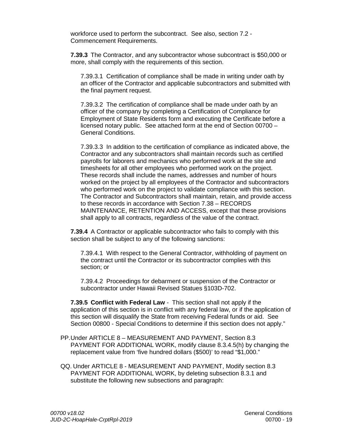workforce used to perform the subcontract. See also, section 7.2 - Commencement Requirements.

**7.39.3** The Contractor, and any subcontractor whose subcontract is \$50,000 or more, shall comply with the requirements of this section.

7.39.3.1 Certification of compliance shall be made in writing under oath by an officer of the Contractor and applicable subcontractors and submitted with the final payment request.

7.39.3.2 The certification of compliance shall be made under oath by an officer of the company by completing a Certification of Compliance for Employment of State Residents form and executing the Certificate before a licensed notary public. See attached form at the end of Section 00700 – General Conditions.

7.39.3.3 In addition to the certification of compliance as indicated above, the Contractor and any subcontractors shall maintain records such as certified payrolls for laborers and mechanics who performed work at the site and timesheets for all other employees who performed work on the project. These records shall include the names, addresses and number of hours worked on the project by all employees of the Contractor and subcontractors who performed work on the project to validate compliance with this section. The Contractor and Subcontractors shall maintain, retain, and provide access to these records in accordance with Section 7.38 – RECORDS MAINTENANCE, RETENTION AND ACCESS, except that these provisions shall apply to all contracts, regardless of the value of the contract.

**7.39.4** A Contractor or applicable subcontractor who fails to comply with this section shall be subject to any of the following sanctions:

7.39.4.1 With respect to the General Contractor, withholding of payment on the contract until the Contractor or its subcontractor complies with this section; or

7.39.4.2 Proceedings for debarment or suspension of the Contractor or subcontractor under Hawaii Revised Statues §103D-702.

**7.39.5 Conflict with Federal Law** - This section shall not apply if the application of this section is in conflict with any federal law, or if the application of this section will disqualify the State from receiving Federal funds or aid. See Section 00800 - Special Conditions to determine if this section does not apply."

PP.Under ARTICLE 8 – MEASUREMENT AND PAYMENT, Section 8.3 PAYMENT FOR ADDITIONAL WORK, modify clause 8.3.4.5(h) by changing the replacement value from 'five hundred dollars (\$500)' to read "\$1,000."

QQ. Under ARTICLE 8 - MEASUREMENT AND PAYMENT, Modify section 8.3 PAYMENT FOR ADDITIONAL WORK, by deleting subsection 8.3.1 and substitute the following new subsections and paragraph: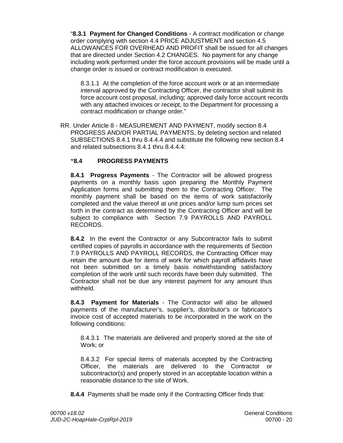"**8.3.1 Payment for Changed Conditions** - A contract modification or change order complying with section 4.4 PRICE ADJUSTMENT and section 4.5 ALLOWANCES FOR OVERHEAD AND PROFIT shall be issued for all changes that are directed under Section 4.2 CHANGES. No payment for any change including work performed under the force account provisions will be made until a change order is issued or contract modification is executed.

8.3.1.1 At the completion of the force account work or at an intermediate interval approved by the Contracting Officer, the contractor shall submit its force account cost proposal, including; approved daily force account records with any attached invoices or receipt, to the Department for processing a contract modification or change order."

RR. Under Article 8 - MEASUREMENT AND PAYMENT, modify section 8.4 PROGRESS AND/OR PARTIAL PAYMENTS, by deleting section and related SUBSECTIONS 8.4.1 thru 8.4.4.4 and substitute the following new section 8.4 and related subsections 8.4.1 thru 8.4.4.4:

# **"8.4 PROGRESS PAYMENTS**

**8.4.1 Progress Payments** - The Contractor will be allowed progress payments on a monthly basis upon preparing the Monthly Payment Application forms and submitting them to the Contracting Officer. The monthly payment shall be based on the items of work satisfactorily completed and the value thereof at unit prices and/or lump sum prices set forth in the contract as determined by the Contracting Officer and will be subject to compliance with Section 7.9 PAYROLLS AND PAYROLL RECORDS.

**8.4.2** In the event the Contractor or any Subcontractor fails to submit certified copies of payrolls in accordance with the requirements of Section 7.9 PAYROLLS AND PAYROLL RECORDS, the Contracting Officer may retain the amount due for items of work for which payroll affidavits have not been submitted on a timely basis notwithstanding satisfactory completion of the work until such records have been duly submitted. The Contractor shall not be due any interest payment for any amount thus withheld.

**8.4.3 Payment for Materials** - The Contractor will also be allowed payments of the manufacturer's, supplier's, distributor's or fabricator's invoice cost of accepted materials to be incorporated in the work on the following conditions:

8.4.3.1 The materials are delivered and properly stored at the site of Work; or

8.4.3.2 For special items of materials accepted by the Contracting Officer, the materials are delivered to the Contractor or subcontractor(s) and properly stored in an acceptable location within a reasonable distance to the site of Work.

**8.4.4** Payments shall be made only if the Contracting Officer finds that: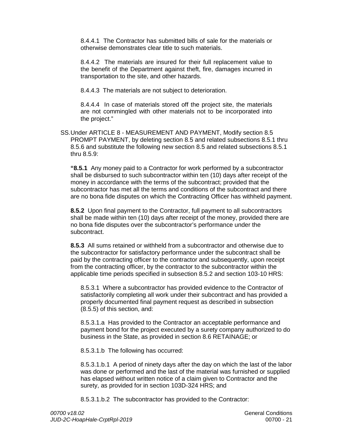8.4.4.1 The Contractor has submitted bills of sale for the materials or otherwise demonstrates clear title to such materials.

8.4.4.2 The materials are insured for their full replacement value to the benefit of the Department against theft, fire, damages incurred in transportation to the site, and other hazards.

8.4.4.3 The materials are not subject to deterioration.

8.4.4.4 In case of materials stored off the project site, the materials are not commingled with other materials not to be incorporated into the project."

SS.Under ARTICLE 8 - MEASUREMENT AND PAYMENT, Modify section 8.5 PROMPT PAYMENT, by deleting section 8.5 and related subsections 8.5.1 thru 8.5.6 and substitute the following new section 8.5 and related subsections 8.5.1 thru 8.5.9:

**"8.5.1** Any money paid to a Contractor for work performed by a subcontractor shall be disbursed to such subcontractor within ten (10) days after receipt of the money in accordance with the terms of the subcontract; provided that the subcontractor has met all the terms and conditions of the subcontract and there are no bona fide disputes on which the Contracting Officer has withheld payment.

**8.5.2** Upon final payment to the Contractor, full payment to all subcontractors shall be made within ten (10) days after receipt of the money, provided there are no bona fide disputes over the subcontractor's performance under the subcontract.

**8.5.3** All sums retained or withheld from a subcontractor and otherwise due to the subcontractor for satisfactory performance under the subcontract shall be paid by the contracting officer to the contractor and subsequently, upon receipt from the contracting officer, by the contractor to the subcontractor within the applicable time periods specified in subsection 8.5.2 and section 103-10 HRS:

8.5.3.1 Where a subcontractor has provided evidence to the Contractor of satisfactorily completing all work under their subcontract and has provided a properly documented final payment request as described in subsection (8.5.5) of this section, and:

8.5.3.1.a Has provided to the Contractor an acceptable performance and payment bond for the project executed by a surety company authorized to do business in the State, as provided in section 8.6 RETAINAGE; or

8.5.3.1.b The following has occurred:

8.5.3.1.b.1 A period of ninety days after the day on which the last of the labor was done or performed and the last of the material was furnished or supplied has elapsed without written notice of a claim given to Contractor and the surety, as provided for in section 103D-324 HRS; and

8.5.3.1.b.2 The subcontractor has provided to the Contractor: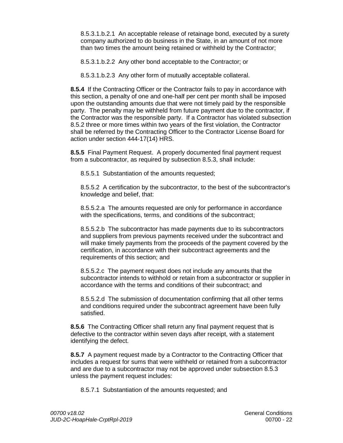8.5.3.1.b.2.1 An acceptable release of retainage bond, executed by a surety company authorized to do business in the State, in an amount of not more than two times the amount being retained or withheld by the Contractor;

8.5.3.1.b.2.2 Any other bond acceptable to the Contractor; or

8.5.3.1.b.2.3 Any other form of mutually acceptable collateral.

**8.5.4** If the Contracting Officer or the Contractor fails to pay in accordance with this section, a penalty of one and one-half per cent per month shall be imposed upon the outstanding amounts due that were not timely paid by the responsible party. The penalty may be withheld from future payment due to the contractor, if the Contractor was the responsible party. If a Contractor has violated subsection 8.5.2 three or more times within two years of the first violation, the Contractor shall be referred by the Contracting Officer to the Contractor License Board for action under section 444-17(14) HRS.

**8.5.5** Final Payment Request. A properly documented final payment request from a subcontractor, as required by subsection 8.5.3, shall include:

8.5.5.1 Substantiation of the amounts requested;

8.5.5.2 A certification by the subcontractor, to the best of the subcontractor's knowledge and belief, that:

8.5.5.2.a The amounts requested are only for performance in accordance with the specifications, terms, and conditions of the subcontract;

8.5.5.2.b The subcontractor has made payments due to its subcontractors and suppliers from previous payments received under the subcontract and will make timely payments from the proceeds of the payment covered by the certification, in accordance with their subcontract agreements and the requirements of this section; and

8.5.5.2.c The payment request does not include any amounts that the subcontractor intends to withhold or retain from a subcontractor or supplier in accordance with the terms and conditions of their subcontract; and

8.5.5.2.d The submission of documentation confirming that all other terms and conditions required under the subcontract agreement have been fully satisfied.

**8.5.6** The Contracting Officer shall return any final payment request that is defective to the contractor within seven days after receipt, with a statement identifying the defect.

**8.5.7** A payment request made by a Contractor to the Contracting Officer that includes a request for sums that were withheld or retained from a subcontractor and are due to a subcontractor may not be approved under subsection 8.5.3 unless the payment request includes:

8.5.7.1 Substantiation of the amounts requested; and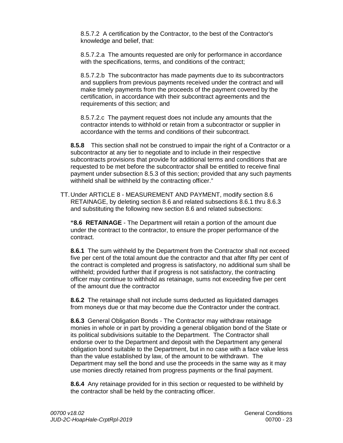8.5.7.2 A certification by the Contractor, to the best of the Contractor's knowledge and belief, that:

8.5.7.2.a The amounts requested are only for performance in accordance with the specifications, terms, and conditions of the contract;

8.5.7.2.b The subcontractor has made payments due to its subcontractors and suppliers from previous payments received under the contract and will make timely payments from the proceeds of the payment covered by the certification, in accordance with their subcontract agreements and the requirements of this section; and

8.5.7.2.c The payment request does not include any amounts that the contractor intends to withhold or retain from a subcontractor or supplier in accordance with the terms and conditions of their subcontract.

**8.5.8** This section shall not be construed to impair the right of a Contractor or a subcontractor at any tier to negotiate and to include in their respective subcontracts provisions that provide for additional terms and conditions that are requested to be met before the subcontractor shall be entitled to receive final payment under subsection 8.5.3 of this section; provided that any such payments withheld shall be withheld by the contracting officer."

TT.Under ARTICLE 8 - MEASUREMENT AND PAYMENT, modify section 8.6 RETAINAGE, by deleting section 8.6 and related subsections 8.6.1 thru 8.6.3 and substituting the following new section 8.6 and related subsections:

**"8.6 RETAINAGE** - The Department will retain a portion of the amount due under the contract to the contractor, to ensure the proper performance of the contract.

**8.6.1** The sum withheld by the Department from the Contractor shall not exceed five per cent of the total amount due the contractor and that after fifty per cent of the contract is completed and progress is satisfactory, no additional sum shall be withheld; provided further that if progress is not satisfactory, the contracting officer may continue to withhold as retainage, sums not exceeding five per cent of the amount due the contractor

**8.6.2** The retainage shall not include sums deducted as liquidated damages from moneys due or that may become due the Contractor under the contract.

**8.6.3** General Obligation Bonds - The Contractor may withdraw retainage monies in whole or in part by providing a general obligation bond of the State or its political subdivisions suitable to the Department. The Contractor shall endorse over to the Department and deposit with the Department any general obligation bond suitable to the Department, but in no case with a face value less than the value established by law, of the amount to be withdrawn. The Department may sell the bond and use the proceeds in the same way as it may use monies directly retained from progress payments or the final payment.

**8.6.4** Any retainage provided for in this section or requested to be withheld by the contractor shall be held by the contracting officer.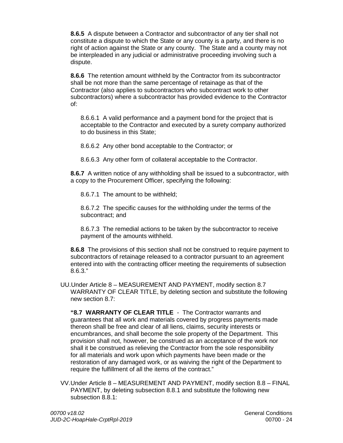**8.6.5** A dispute between a Contractor and subcontractor of any tier shall not constitute a dispute to which the State or any county is a party, and there is no right of action against the State or any county. The State and a county may not be interpleaded in any judicial or administrative proceeding involving such a dispute.

**8.6.6** The retention amount withheld by the Contractor from its subcontractor shall be not more than the same percentage of retainage as that of the Contractor (also applies to subcontractors who subcontract work to other subcontractors) where a subcontractor has provided evidence to the Contractor of:

8.6.6.1 A valid performance and a payment bond for the project that is acceptable to the Contractor and executed by a surety company authorized to do business in this State;

8.6.6.2 Any other bond acceptable to the Contractor; or

8.6.6.3 Any other form of collateral acceptable to the Contractor.

**8.6.7** A written notice of any withholding shall be issued to a subcontractor, with a copy to the Procurement Officer, specifying the following:

8.6.7.1 The amount to be withheld;

8.6.7.2 The specific causes for the withholding under the terms of the subcontract; and

8.6.7.3 The remedial actions to be taken by the subcontractor to receive payment of the amounts withheld.

**8.6.8** The provisions of this section shall not be construed to require payment to subcontractors of retainage released to a contractor pursuant to an agreement entered into with the contracting officer meeting the requirements of subsection 8.6.3."

UU.Under Article 8 – MEASUREMENT AND PAYMENT, modify section 8.7 WARRANTY OF CLEAR TITLE, by deleting section and substitute the following new section 8.7:

**"8.7 WARRANTY OF CLEAR TITLE** - The Contractor warrants and guarantees that all work and materials covered by progress payments made thereon shall be free and clear of all liens, claims, security interests or encumbrances, and shall become the sole property of the Department. This provision shall not, however, be construed as an acceptance of the work nor shall it be construed as relieving the Contractor from the sole responsibility for all materials and work upon which payments have been made or the restoration of any damaged work, or as waiving the right of the Department to require the fulfillment of all the items of the contract."

VV.Under Article 8 – MEASUREMENT AND PAYMENT, modify section 8.8 – FINAL PAYMENT, by deleting subsection 8.8.1 and substitute the following new subsection 8.8.1: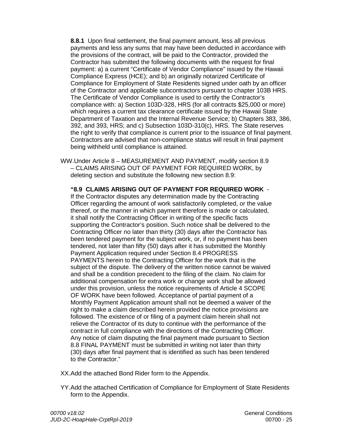**8.8.1** Upon final settlement, the final payment amount, less all previous payments and less any sums that may have been deducted in accordance with the provisions of the contract, will be paid to the Contractor, provided the Contractor has submitted the following documents with the request for final payment: a) a current "Certificate of Vendor Compliance" issued by the Hawaii Compliance Express (HCE); and b) an originally notarized Certificate of Compliance for Employment of State Residents signed under oath by an officer of the Contractor and applicable subcontractors pursuant to chapter 103B HRS. The Certificate of Vendor Compliance is used to certify the Contractor's compliance with: a) Section 103D-328, HRS (for all contracts \$25,000 or more) which requires a current tax clearance certificate issued by the Hawaii State Department of Taxation and the Internal Revenue Service; b) Chapters 383, 386, 392, and 393, HRS; and c) Subsection 103D-310(c), HRS. The State reserves the right to verify that compliance is current prior to the issuance of final payment. Contractors are advised that non-compliance status will result in final payment being withheld until compliance is attained.

WW.Under Article 8 – MEASUREMENT AND PAYMENT, modify section 8.9 – CLAIMS ARISING OUT OF PAYMENT FOR REQUIRED WORK, by deleting section and substitute the following new section 8.9:

**"8.9 CLAIMS ARISING OUT OF PAYMENT FOR REQUIRED WORK** - If the Contractor disputes any determination made by the Contracting Officer regarding the amount of work satisfactorily completed, or the value thereof, or the manner in which payment therefore is made or calculated, it shall notify the Contracting Officer in writing of the specific facts supporting the Contractor's position. Such notice shall be delivered to the Contracting Officer no later than thirty (30) days after the Contractor has been tendered payment for the subject work, or, if no payment has been tendered, not later than fifty (50) days after it has submitted the Monthly Payment Application required under Section 8.4 PROGRESS PAYMENTS herein to the Contracting Officer for the work that is the subject of the dispute. The delivery of the written notice cannot be waived and shall be a condition precedent to the filing of the claim. No claim for additional compensation for extra work or change work shall be allowed under this provision, unless the notice requirements of Article 4 SCOPE OF WORK have been followed. Acceptance of partial payment of a Monthly Payment Application amount shall not be deemed a waiver of the right to make a claim described herein provided the notice provisions are followed. The existence of or filing of a payment claim herein shall not relieve the Contractor of its duty to continue with the performance of the contract in full compliance with the directions of the Contracting Officer. Any notice of claim disputing the final payment made pursuant to Section 8.8 FINAL PAYMENT must be submitted in writing not later than thirty (30) days after final payment that is identified as such has been tendered to the Contractor."

- XX.Add the attached Bond Rider form to the Appendix.
- YY.Add the attached Certification of Compliance for Employment of State Residents form to the Appendix.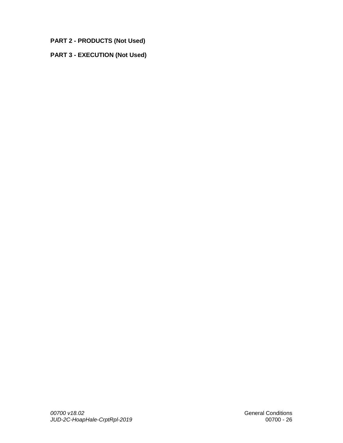**PART 2 - PRODUCTS (Not Used)**

# **PART 3 - EXECUTION (Not Used)**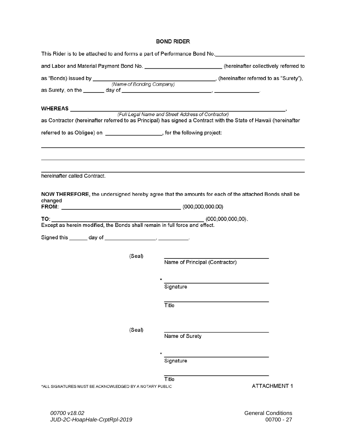#### **BOND RIDER**

|                                                                             | This Rider is to be attached to and forms a part of Performance Bond No. ___________________________             |
|-----------------------------------------------------------------------------|------------------------------------------------------------------------------------------------------------------|
|                                                                             | and Labor and Material Payment Bond No. __________________________(hereinafter collectively referred to          |
|                                                                             |                                                                                                                  |
|                                                                             |                                                                                                                  |
|                                                                             | as Contractor (hereinafter referred to as Principal) has signed a Contract with the State of Hawaii (hereinafter |
| referred to as Obligee) on ____________________, for the following project: |                                                                                                                  |
|                                                                             |                                                                                                                  |
| hereinafter called Contract.                                                |                                                                                                                  |
| changed<br>FROM: (000,000,000,000.00)                                       | NOW THEREFORE, the undersigned hereby agree that the amounts for each of the attached Bonds shall be             |
| TO: TO                                                                      | (000,000,000,000)                                                                                                |
|                                                                             |                                                                                                                  |
|                                                                             |                                                                                                                  |
| (Seal)                                                                      | Name of Principal (Contractor)                                                                                   |
|                                                                             | Signature                                                                                                        |
|                                                                             | Title                                                                                                            |
| (Seal)                                                                      | Name of Surety                                                                                                   |
|                                                                             | Signature                                                                                                        |
| *ALL SIGNATURES MUST BE ACKNOWLEDGED BY A NOTARY PUBLIC                     | Title<br><b>ATTACHMENT1</b>                                                                                      |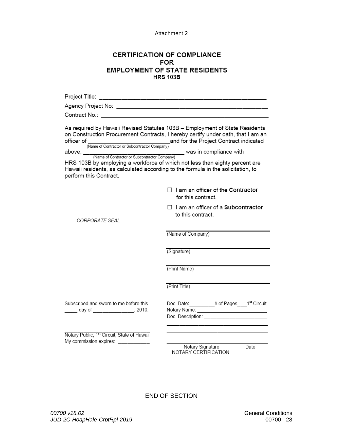Attachment 2

# **CERTIFICATION OF COMPLIANCE FOR EMPLOYMENT OF STATE RESIDENTS HRS 103B**

| perform this Contract.                                                                  | As required by Hawaii Revised Statutes 103B - Employment of State Residents<br>on Construction Procurement Contracts, I hereby certify under oath, that I am an<br>officer of (Name of Contractor or Subcontractor Company)<br>(Name of Contractor or Subcontractor Company)<br>HRS 103B by employing a workforce of which not less than eighty percent are<br>Hawaii residents, as calculated according to the formula in the solicitation, to |
|-----------------------------------------------------------------------------------------|-------------------------------------------------------------------------------------------------------------------------------------------------------------------------------------------------------------------------------------------------------------------------------------------------------------------------------------------------------------------------------------------------------------------------------------------------|
|                                                                                         | $\Box$ I am an officer of the Contractor<br>for this contract.                                                                                                                                                                                                                                                                                                                                                                                  |
| CORPORATE SEAI                                                                          | □ I am an officer of a Subcontractor<br>to this contract.                                                                                                                                                                                                                                                                                                                                                                                       |
|                                                                                         | (Name of Company)                                                                                                                                                                                                                                                                                                                                                                                                                               |
|                                                                                         | (Signature)                                                                                                                                                                                                                                                                                                                                                                                                                                     |
|                                                                                         | (Print Name)                                                                                                                                                                                                                                                                                                                                                                                                                                    |
|                                                                                         | (Print Title)                                                                                                                                                                                                                                                                                                                                                                                                                                   |
| Subscribed and sworn to me before this<br>____ day of ______________, 2010.             | Doc. Date: ________# of Pages__1 <sup>st</sup> Circuit<br>Notary Name: _________________________________<br>Doc. Description: <b>contract of the COVID-19</b>                                                                                                                                                                                                                                                                                   |
| Notary Public, 1 <sup>st</sup> Circuit, State of Hawaii<br>My commission expires: _____ | Notary Signature<br>Date<br>NOTARY CERTIFICATION                                                                                                                                                                                                                                                                                                                                                                                                |

END OF SECTION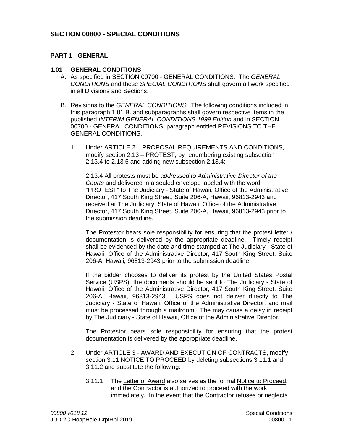# **SECTION 00800 - SPECIAL CONDITIONS**

# **PART 1 - GENERAL**

### **1.01 GENERAL CONDITIONS**

- A. As specified in SECTION 00700 GENERAL CONDITIONS: The *GENERAL CONDITIONS* and these *SPECIAL CONDITIONS* shall govern all work specified in all Divisions and Sections.
- B. Revisions to the *GENERAL CONDITIONS*: The following conditions included in this paragraph 1.01 B. and subparagraphs shall govern respective items in the published *INTERIM GENERAL CONDITIONS 1999 Edition* and in SECTION 00700 - GENERAL CONDITIONS, paragraph entitled REVISIONS TO THE GENERAL CONDITIONS.
	- 1. Under ARTICLE 2 PROPOSAL REQUIREMENTS AND CONDITIONS, modify section 2.13 – PROTEST, by renumbering existing subsection 2.13.4 to 2.13.5 and adding new subsection 2.13.4:

2.13.4 All protests must be *addressed to Administrative Director of the Courts* and delivered in a sealed envelope labeled with the word "PROTEST" to The Judiciary - State of Hawaii, Office of the Administrative Director, 417 South King Street, Suite 206-A, Hawaii, 96813-2943 and received at The Judiciary, State of Hawaii, Office of the Administrative Director, 417 South King Street, Suite 206-A, Hawaii, 96813-2943 prior to the submission deadline.

The Protestor bears sole responsibility for ensuring that the protest letter / documentation is delivered by the appropriate deadline. Timely receipt shall be evidenced by the date and time stamped at The Judiciary - State of Hawaii, Office of the Administrative Director, 417 South King Street, Suite 206-A, Hawaii, 96813-2943 prior to the submission deadline.

If the bidder chooses to deliver its protest by the United States Postal Service (USPS), the documents should be sent to The Judiciary - State of Hawaii, Office of the Administrative Director, 417 South King Street, Suite 206-A, Hawaii, 96813-2943. USPS does not deliver directly to The Judiciary - State of Hawaii, Office of the Administrative Director, and mail must be processed through a mailroom. The may cause a delay in receipt by The Judiciary - State of Hawaii, Office of the Administrative Director.

The Protestor bears sole responsibility for ensuring that the protest documentation is delivered by the appropriate deadline.

- 2. Under ARTICLE 3 AWARD AND EXECUTION OF CONTRACTS, modify section 3.11 NOTICE TO PROCEED by deleting subsections 3.11.1 and 3.11.2 and substitute the following:
	- 3.11.1 The Letter of Award also serves as the formal Notice to Proceed, and the Contractor is authorized to proceed with the work immediately. In the event that the Contractor refuses or neglects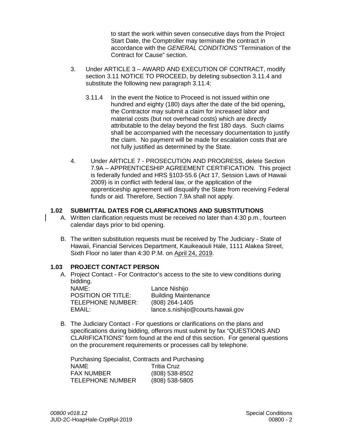to start the work within seven consecutive days from the Project Start Date, the Comptroller may terminate the contract in accordance with the *GENERAL CONDITIONS* "Termination of the Contract for Cause" section.

- 3. Under ARTICLE 3 AWARD AND EXECUTION OF CONTRACT, modify section 3.11 NOTICE TO PROCEED, by deleting subsection 3.11.4 and substitute the following new paragraph 3.11.4:
	- 3.11.4 In the event the Notice to Proceed is not issued within one hundred and eighty (180) days after the date of the bid opening**,** the Contractor may submit a claim for increased labor and material costs (but not overhead costs) which are directly attributable to the delay beyond the first 180 days. Such claims shall be accompanied with the necessary documentation to justify the claim. No payment will be made for escalation costs that are not fully justified as determined by the State.
- 4. Under ARTICLE 7 PROSECUTION AND PROGRESS, delete Section 7.9A – APPRENTICESHIP AGREEMENT CERTIFICATION. This project is federally funded and HRS §103-55.6 (Act 17, Session Laws of Hawaii 2009) is in conflict with federal law, or the application of the apprenticeship agreement will disqualify the State from receiving Federal funds or aid. Therefore, Section 7.9A shall not apply.

# **1.02 SUBMITTAL DATES FOR CLARIFICATIONS AND SUBSTITUTIONS**

- A. Written clarification requests must be received no later than 4:30 p.m., fourteen calendar days prior to bid opening.
- B. The written substitution requests must be received by The Judiciary State of Hawaii, Financial Services Department, Kauikeaouli Hale, 1111 Alakea Street, Sixth Floor no later than 4:30 P.M. on April 24, 2019.

## **1.03 PROJECT CONTACT PERSON**

A. Project Contact - For Contractor's access to the site to view conditions during bidding.

NAME: Lance Nishijo POSITION OR TITLE: Building Maintenance<br>TELEPHONE NUMBER: (808) 264-1405 TELEPHONE NUMBER:

EMAIL: lance.s.nishijo@courts.hawaii.gov

B. The Judiciary Contact - For questions or clarifications on the plans and specifications during bidding, offerors must submit by fax "QUESTIONS AND CLARIFICATIONS" form found at the end of this section. For general questions on the procurement requirements or processes call by telephone.

Purchasing Specialist, Contracts and Purchasing NAME Tritia Cruz FAX NUMBER (808) 538-8502 TELEPHONE NUMBER (808) 538-5805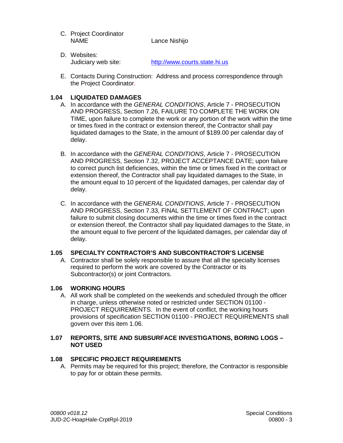- C. Project Coordinator Lance Nishijo
- D. Websites: Judiciary web site: http://www.courts.state.hi.us
- E. Contacts During Construction: Address and process correspondence through the Project Coordinator.

# **1.04 LIQUIDATED DAMAGES**

- A. In accordance with the *GENERAL CONDITIONS*, Article 7 PROSECUTION AND PROGRESS, Section 7.26, FAILURE TO COMPLETE THE WORK ON TIME, upon failure to complete the work or any portion of the work within the time or times fixed in the contract or extension thereof, the Contractor shall pay liquidated damages to the State, in the amount of \$189.00 per calendar day of delay.
- B. In accordance with the *GENERAL CONDITIONS*, Article 7 PROSECUTION AND PROGRESS, Section 7.32, PROJECT ACCEPTANCE DATE; upon failure to correct punch list deficiencies, within the time or times fixed in the contract or extension thereof, the Contractor shall pay liquidated damages to the State, in the amount equal to 10 percent of the liquidated damages, per calendar day of delay.
- C. In accordance with the *GENERAL CONDITIONS*, Article 7 PROSECUTION AND PROGRESS, Section 7.33, FINAL SETTLEMENT OF CONTRACT; upon failure to submit closing documents within the time or times fixed in the contract or extension thereof, the Contractor shall pay liquidated damages to the State, in the amount equal to five percent of the liquidated damages, per calendar day of delay.

# **1.05 SPECIALTY CONTRACTOR'S AND SUBCONTRACTOR'S LICENSE**

A. Contractor shall be solely responsible to assure that all the specialty licenses required to perform the work are covered by the Contractor or its Subcontractor(s) or joint Contractors.

# **1.06 WORKING HOURS**

A. All work shall be completed on the weekends and scheduled through the officer in charge, unless otherwise noted or restricted under SECTION 01100 - PROJECT REQUIREMENTS. In the event of conflict, the working hours provisions of specification SECTION 01100 - PROJECT REQUIREMENTS shall govern over this item 1.06.

## **1.07 REPORTS, SITE AND SUBSURFACE INVESTIGATIONS, BORING LOGS – NOT USED**

# **1.08 SPECIFIC PROJECT REQUIREMENTS**

A. Permits may be required for this project; therefore, the Contractor is responsible to pay for or obtain these permits.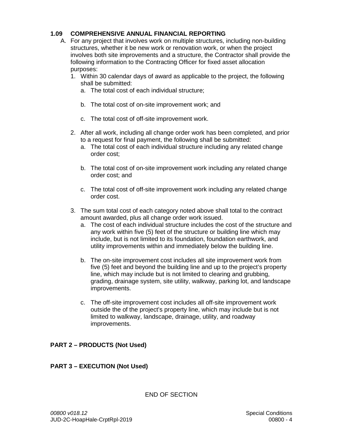# **1.09 COMPREHENSIVE ANNUAL FINANCIAL REPORTING**

- A. For any project that involves work on multiple structures, including non-building structures, whether it be new work or renovation work, or when the project involves both site improvements and a structure, the Contractor shall provide the following information to the Contracting Officer for fixed asset allocation purposes:
	- 1. Within 30 calendar days of award as applicable to the project, the following shall be submitted:
		- a. The total cost of each individual structure;
		- b. The total cost of on-site improvement work; and
		- c. The total cost of off-site improvement work.
	- 2. After all work, including all change order work has been completed, and prior to a request for final payment, the following shall be submitted:
		- a. The total cost of each individual structure including any related change order cost;
		- b. The total cost of on-site improvement work including any related change order cost; and
		- c. The total cost of off-site improvement work including any related change order cost.
	- 3. The sum total cost of each category noted above shall total to the contract amount awarded, plus all change order work issued.
		- a. The cost of each individual structure includes the cost of the structure and any work within five (5) feet of the structure or building line which may include, but is not limited to its foundation, foundation earthwork, and utility improvements within and immediately below the building line.
		- b. The on-site improvement cost includes all site improvement work from five (5) feet and beyond the building line and up to the project's property line, which may include but is not limited to clearing and grubbing, grading, drainage system, site utility, walkway, parking lot, and landscape improvements.
		- c. The off-site improvement cost includes all off-site improvement work outside the of the project's property line, which may include but is not limited to walkway, landscape, drainage, utility, and roadway improvements.

# **PART 2 – PRODUCTS (Not Used)**

# **PART 3 – EXECUTION (Not Used)**

END OF SECTION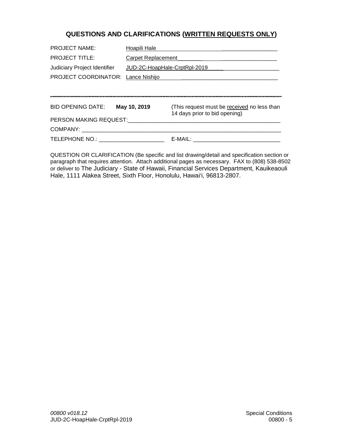# **QUESTIONS AND CLARIFICATIONS (WRITTEN REQUESTS ONLY)**

| PROJECT NAME:                                                | Hoapili Hale       |                                                                              |  |  |
|--------------------------------------------------------------|--------------------|------------------------------------------------------------------------------|--|--|
| <b>PROJECT TITLE:</b>                                        | Carpet Replacement |                                                                              |  |  |
| JUD-2C-HoapHale-CrptRpl-2019<br>Judiciary Project Identifier |                    |                                                                              |  |  |
| PROJECT COORDINATOR: Lance Nishijo                           |                    |                                                                              |  |  |
|                                                              |                    |                                                                              |  |  |
|                                                              |                    |                                                                              |  |  |
| <b>BID OPENING DATE:</b>                                     | May 10, 2019       | (This request must be received no less than<br>14 days prior to bid opening) |  |  |
| PERSON MAKING REQUEST:                                       |                    |                                                                              |  |  |
| COMPANY:                                                     |                    |                                                                              |  |  |
|                                                              |                    |                                                                              |  |  |

QUESTION OR CLARIFICATION (Be specific and list drawing/detail and specification section or paragraph that requires attention. Attach additional pages as necessary. FAX to (808) 538-8502 or deliver to The Judiciary - State of Hawaii, Financial Services Department, Kauikeaouli Hale, 1111 Alakea Street, Sixth Floor, Honolulu, Hawai'i, 96813-2807.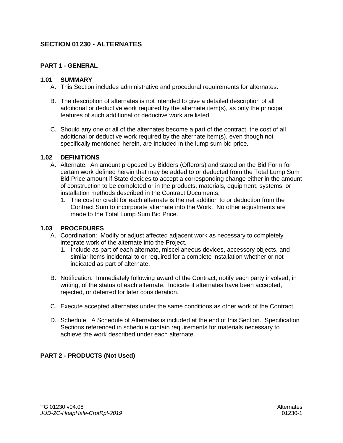# **SECTION 01230 - ALTERNATES**

# **PART 1 - GENERAL**

### **1.01 SUMMARY**

- A. This Section includes administrative and procedural requirements for alternates.
- B. The description of alternates is not intended to give a detailed description of all additional or deductive work required by the alternate item(s), as only the principal features of such additional or deductive work are listed.
- C. Should any one or all of the alternates become a part of the contract, the cost of all additional or deductive work required by the alternate item(s), even though not specifically mentioned herein, are included in the lump sum bid price.

## **1.02 DEFINITIONS**

- A. Alternate: An amount proposed by Bidders (Offerors) and stated on the Bid Form for certain work defined herein that may be added to or deducted from the Total Lump Sum Bid Price amount if State decides to accept a corresponding change either in the amount of construction to be completed or in the products, materials, equipment, systems, or installation methods described in the Contract Documents.
	- 1. The cost or credit for each alternate is the net addition to or deduction from the Contract Sum to incorporate alternate into the Work. No other adjustments are made to the Total Lump Sum Bid Price.

## **1.03 PROCEDURES**

- A. Coordination: Modify or adjust affected adjacent work as necessary to completely integrate work of the alternate into the Project.
	- 1. Include as part of each alternate, miscellaneous devices, accessory objects, and similar items incidental to or required for a complete installation whether or not indicated as part of alternate.
- B. Notification: Immediately following award of the Contract, notify each party involved, in writing, of the status of each alternate. Indicate if alternates have been accepted, rejected, or deferred for later consideration.
- C. Execute accepted alternates under the same conditions as other work of the Contract.
- D. Schedule: A Schedule of Alternates is included at the end of this Section. Specification Sections referenced in schedule contain requirements for materials necessary to achieve the work described under each alternate.

## **PART 2 - PRODUCTS (Not Used)**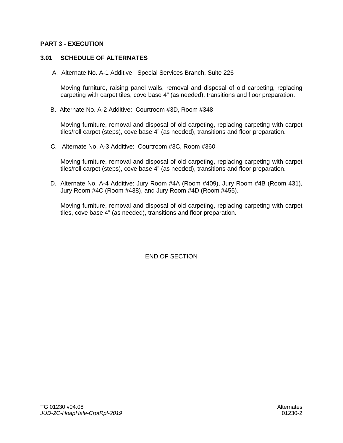### **PART 3 - EXECUTION**

### **3.01 SCHEDULE OF ALTERNATES**

A. Alternate No. A-1 Additive: Special Services Branch, Suite 226

Moving furniture, raising panel walls, removal and disposal of old carpeting, replacing carpeting with carpet tiles, cove base 4" (as needed), transitions and floor preparation.

B. Alternate No. A-2 Additive: Courtroom #3D, Room #348

Moving furniture, removal and disposal of old carpeting, replacing carpeting with carpet tiles/roll carpet (steps), cove base 4" (as needed), transitions and floor preparation.

C. Alternate No. A-3 Additive: Courtroom #3C, Room #360

Moving furniture, removal and disposal of old carpeting, replacing carpeting with carpet tiles/roll carpet (steps), cove base 4" (as needed), transitions and floor preparation.

D. Alternate No. A-4 Additive: Jury Room #4A (Room #409), Jury Room #4B (Room 431), Jury Room #4C (Room #438), and Jury Room #4D (Room #455).

Moving furniture, removal and disposal of old carpeting, replacing carpeting with carpet tiles, cove base 4" (as needed), transitions and floor preparation.

END OF SECTION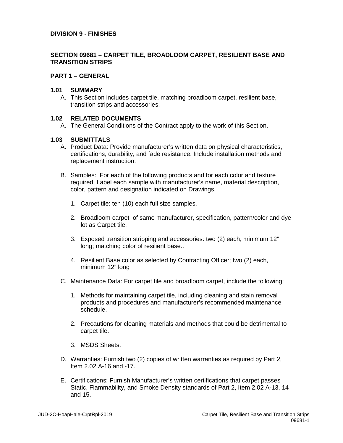#### **DIVISION 9 - FINISHES**

## **SECTION 09681 – CARPET TILE, BROADLOOM CARPET, RESILIENT BASE AND TRANSITION STRIPS**

#### **PART 1 – GENERAL**

#### **1.01 SUMMARY**

A. This Section includes carpet tile, matching broadloom carpet, resilient base, transition strips and accessories.

#### **1.02 RELATED DOCUMENTS**

A. The General Conditions of the Contract apply to the work of this Section.

#### **1.03 SUBMITTALS**

- A. Product Data: Provide manufacturer's written data on physical characteristics, certifications, durability, and fade resistance. Include installation methods and replacement instruction.
- B. Samples: For each of the following products and for each color and texture required. Label each sample with manufacturer's name, material description, color, pattern and designation indicated on Drawings.
	- 1. Carpet tile: ten (10) each full size samples.
	- 2. Broadloom carpet of same manufacturer, specification, pattern/color and dye lot as Carpet tile.
	- 3. Exposed transition stripping and accessories: two (2) each, minimum 12" long; matching color of resilient base..
	- 4. Resilient Base color as selected by Contracting Officer; two (2) each, minimum 12" long
- C. Maintenance Data: For carpet tile and broadloom carpet, include the following:
	- 1. Methods for maintaining carpet tile, including cleaning and stain removal products and procedures and manufacturer's recommended maintenance schedule.
	- 2. Precautions for cleaning materials and methods that could be detrimental to carpet tile.
	- 3. MSDS Sheets.
- D. Warranties: Furnish two (2) copies of written warranties as required by Part 2, Item 2.02 A-16 and -17.
- E. Certifications: Furnish Manufacturer's written certifications that carpet passes Static, Flammability, and Smoke Density standards of Part 2, Item 2.02 A-13, 14 and 15.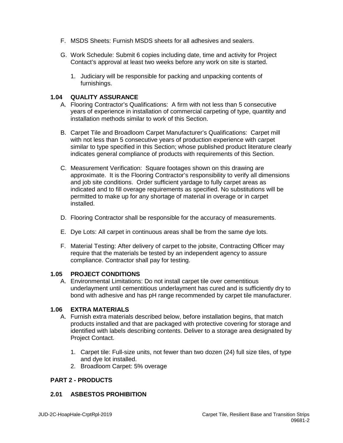- F. MSDS Sheets: Furnish MSDS sheets for all adhesives and sealers.
- G. Work Schedule: Submit 6 copies including date, time and activity for Project Contact's approval at least two weeks before any work on site is started.
	- 1. Judiciary will be responsible for packing and unpacking contents of furnishings.

## **1.04 QUALITY ASSURANCE**

- A. Flooring Contractor's Qualifications: A firm with not less than 5 consecutive years of experience in installation of commercial carpeting of type, quantity and installation methods similar to work of this Section.
- B. Carpet Tile and Broadloom Carpet Manufacturer's Qualifications: Carpet mill with not less than 5 consecutive years of production experience with carpet similar to type specified in this Section; whose published product literature clearly indicates general compliance of products with requirements of this Section.
- C. Measurement Verification: Square footages shown on this drawing are approximate. It is the Flooring Contractor's responsibility to verify all dimensions and job site conditions. Order sufficient yardage to fully carpet areas as indicated and to fill overage requirements as specified. No substitutions will be permitted to make up for any shortage of material in overage or in carpet installed.
- D. Flooring Contractor shall be responsible for the accuracy of measurements.
- E. Dye Lots: All carpet in continuous areas shall be from the same dye lots.
- F. Material Testing: After delivery of carpet to the jobsite, Contracting Officer may require that the materials be tested by an independent agency to assure compliance. Contractor shall pay for testing.

#### **1.05 PROJECT CONDITIONS**

A. Environmental Limitations: Do not install carpet tile over cementitious underlayment until cementitious underlayment has cured and is sufficiently dry to bond with adhesive and has pH range recommended by carpet tile manufacturer.

#### **1.06 EXTRA MATERIALS**

- A. Furnish extra materials described below, before installation begins, that match products installed and that are packaged with protective covering for storage and identified with labels describing contents. Deliver to a storage area designated by Project Contact.
	- 1. Carpet tile: Full-size units, not fewer than two dozen (24) full size tiles, of type and dye lot installed.
	- 2. Broadloom Carpet: 5% overage

#### **PART 2 - PRODUCTS**

### **2.01 ASBESTOS PROHIBITION**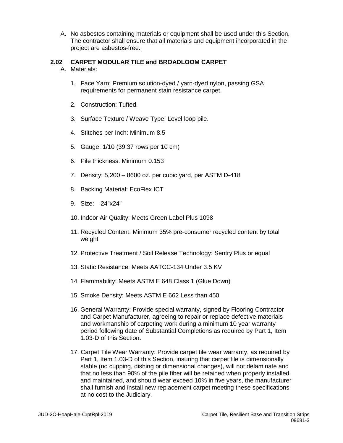A. No asbestos containing materials or equipment shall be used under this Section. The contractor shall ensure that all materials and equipment incorporated in the project are asbestos-free.

# **2.02 CARPET MODULAR TILE and BROADLOOM CARPET**

- A. Materials:
	- 1. Face Yarn: Premium solution-dyed / yarn-dyed nylon, passing GSA requirements for permanent stain resistance carpet.
	- 2. Construction: Tufted.
	- 3. Surface Texture / Weave Type: Level loop pile.
	- 4. Stitches per Inch: Minimum 8.5
	- 5. Gauge: 1/10 (39.37 rows per 10 cm)
	- 6. Pile thickness: Minimum 0.153
	- 7. Density: 5,200 8600 oz. per cubic yard, per ASTM D-418
	- 8. Backing Material: EcoFlex ICT
	- 9. Size: 24"x24"
	- 10. Indoor Air Quality: Meets Green Label Plus 1098
	- 11. Recycled Content: Minimum 35% pre-consumer recycled content by total weight
	- 12. Protective Treatment / Soil Release Technology: Sentry Plus or equal
	- 13. Static Resistance: Meets AATCC-134 Under 3.5 KV
	- 14. Flammability: Meets ASTM E 648 Class 1 (Glue Down)
	- 15. Smoke Density: Meets ASTM E 662 Less than 450
	- 16. General Warranty: Provide special warranty, signed by Flooring Contractor and Carpet Manufacturer, agreeing to repair or replace defective materials and workmanship of carpeting work during a minimum 10 year warranty period following date of Substantial Completions as required by Part 1, Item 1.03-D of this Section.
	- 17. Carpet Tile Wear Warranty: Provide carpet tile wear warranty, as required by Part 1, Item 1.03-D of this Section, insuring that carpet tile is dimensionally stable (no cupping, dishing or dimensional changes), will not delaminate and that no less than 90% of the pile fiber will be retained when properly installed and maintained, and should wear exceed 10% in five years, the manufacturer shall furnish and install new replacement carpet meeting these specifications at no cost to the Judiciary.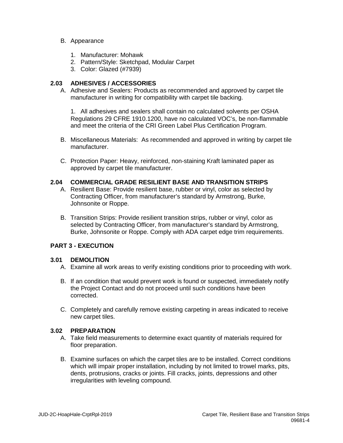#### B. Appearance

- 1. Manufacturer: Mohawk
- 2. Pattern/Style: Sketchpad, Modular Carpet
- 3. Color: Glazed (#7939)

# **2.03 ADHESIVES / ACCESSORIES**

A. Adhesive and Sealers: Products as recommended and approved by carpet tile manufacturer in writing for compatibility with carpet tile backing.

1. All adhesives and sealers shall contain no calculated solvents per OSHA Regulations 29 CFRE 1910.1200, have no calculated VOC's, be non-flammable and meet the criteria of the CRI Green Label Plus Certification Program.

- B. Miscellaneous Materials: As recommended and approved in writing by carpet tile manufacturer.
- C. Protection Paper: Heavy, reinforced, non-staining Kraft laminated paper as approved by carpet tile manufacturer.

## **2.04 COMMERCIAL GRADE RESILIENT BASE AND TRANSITION STRIPS**

- A. Resilient Base: Provide resilient base, rubber or vinyl, color as selected by Contracting Officer, from manufacturer's standard by Armstrong, Burke, Johnsonite or Roppe.
- B. Transition Strips: Provide resilient transition strips, rubber or vinyl, color as selected by Contracting Officer, from manufacturer's standard by Armstrong, Burke, Johnsonite or Roppe. Comply with ADA carpet edge trim requirements.

## **PART 3 - EXECUTION**

## **3.01 DEMOLITION**

- A. Examine all work areas to verify existing conditions prior to proceeding with work.
- B. If an condition that would prevent work is found or suspected, immediately notify the Project Contact and do not proceed until such conditions have been corrected.
- C. Completely and carefully remove existing carpeting in areas indicated to receive new carpet tiles.

## **3.02 PREPARATION**

- A. Take field measurements to determine exact quantity of materials required for floor preparation.
- B. Examine surfaces on which the carpet tiles are to be installed. Correct conditions which will impair proper installation, including by not limited to trowel marks, pits, dents, protrusions, cracks or joints. Fill cracks, joints, depressions and other irregularities with leveling compound.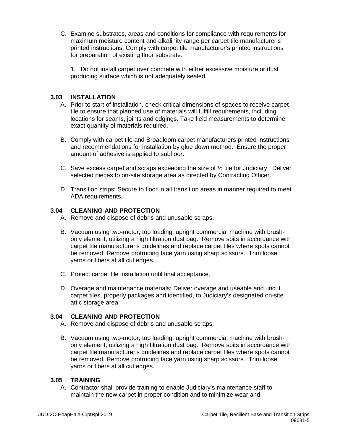C. Examine substrates, areas and conditions for compliance with requirements for maximum moisture content and alkalinity range per carpet tile manufacturer's printed instructions. Comply with carpet tile manufacturer's printed instructions for preparation of existing floor substrate.

1. Do not install carpet over concrete with either excessive moisture or dust producing surface which is not adequately sealed.

# **3.03 INSTALLATION**

- A. Prior to start of installation, check critical dimensions of spaces to receive carpet tile to ensure that planned use of materials will fulfill requirements, including locations for seams, joints and edgings. Take field measurements to determine exact quantity of materials required.
- B. Comply with carpet tile and Broadloom carpet manufacturers printed instructions and recommendations for installation by glue down method. Ensure the proper amount of adhesive is applied to subfloor.
- C. Save excess carpet and scraps exceeding the size of  $\frac{1}{2}$  tile for Judiciary. Deliver selected pieces to on-site storage area as directed by Contracting Officer.
- D. Transition strips: Secure to floor in all transition areas in manner required to meet ADA requirements.

## **3.04 CLEANING AND PROTECTION**

- A. Remove and dispose of debris and unusable scraps.
- B. Vacuum using two-motor, top loading, upright commercial machine with brushonly element, utilizing a high filtration dust bag. Remove spits in accordance with carpet tile manufacturer's guidelines and replace carpet tiles where spots cannot be removed. Remove protruding face yarn using sharp scissors. Trim loose yarns or fibers at all cut edges.
- C. Protect carpet tile installation until final acceptance.
- D. Overage and maintenance materials: Deliver overage and useable and uncut carpet tiles, properly packages and identified, to Judiciary's designated on-site attic storage area.

## **3.04 CLEANING AND PROTECTION**

- A. Remove and dispose of debris and unusable scraps.
- B. Vacuum using two-motor, top loading, upright commercial machine with brushonly element, utilizing a high filtration dust bag. Remove spits in accordance with carpet tile manufacturer's guidelines and replace carpet tiles where spots cannot be removed. Remove protruding face yarn using sharp scissors. Trim loose yarns or fibers at all cut edges.

## **3.05 TRAINING**

A. Contractor shall provide training to enable Judiciary's maintenance staff to maintain the new carpet in proper condition and to minimize wear and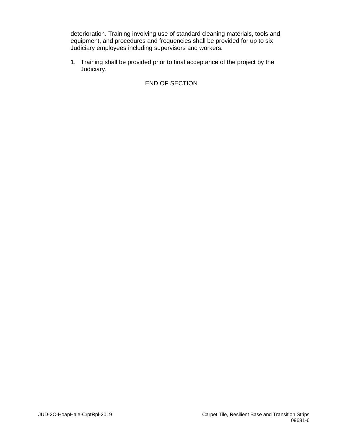deterioration. Training involving use of standard cleaning materials, tools and equipment, and procedures and frequencies shall be provided for up to six Judiciary employees including supervisors and workers.

1. Training shall be provided prior to final acceptance of the project by the Judiciary.

# END OF SECTION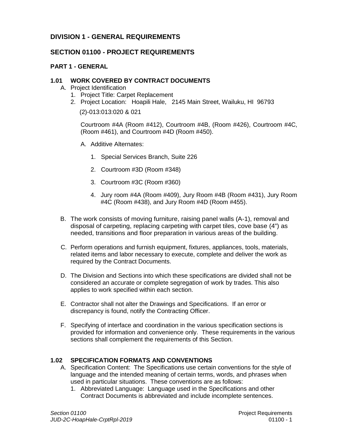# **DIVISION 1 - GENERAL REQUIREMENTS**

# **SECTION 01100 - PROJECT REQUIREMENTS**

# **PART 1 - GENERAL**

# **1.01 WORK COVERED BY CONTRACT DOCUMENTS**

- A. Project Identification
	- 1. Project Title: Carpet Replacement
	- 2. Project Location: Hoapili Hale, 2145 Main Street, Wailuku, HI 96793

(2)-013:013:020 & 021

Courtroom #4A (Room #412), Courtroom #4B, (Room #426), Courtroom #4C, (Room #461), and Courtroom #4D (Room #450).

- A. Additive Alternates:
	- 1. Special Services Branch, Suite 226
	- 2. Courtroom #3D (Room #348)
	- 3. Courtroom #3C (Room #360)
	- 4. Jury room #4A (Room #409), Jury Room #4B (Room #431), Jury Room #4C (Room #438), and Jury Room #4D (Room #455).
- B. The work consists of moving furniture, raising panel walls (A-1), removal and disposal of carpeting, replacing carpeting with carpet tiles, cove base (4") as needed, transitions and floor preparation in various areas of the building.
- C. Perform operations and furnish equipment, fixtures, appliances, tools, materials, related items and labor necessary to execute, complete and deliver the work as required by the Contract Documents.
- D. The Division and Sections into which these specifications are divided shall not be considered an accurate or complete segregation of work by trades. This also applies to work specified within each section.
- E. Contractor shall not alter the Drawings and Specifications. If an error or discrepancy is found, notify the Contracting Officer.
- F. Specifying of interface and coordination in the various specification sections is provided for information and convenience only. These requirements in the various sections shall complement the requirements of this Section.

# **1.02 SPECIFICATION FORMATS AND CONVENTIONS**

- A. Specification Content: The Specifications use certain conventions for the style of language and the intended meaning of certain terms, words, and phrases when used in particular situations. These conventions are as follows:
	- 1. Abbreviated Language: Language used in the Specifications and other Contract Documents is abbreviated and include incomplete sentences.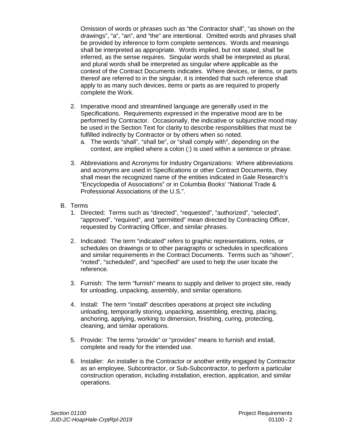Omission of words or phrases such as "the Contractor shall", "as shown on the drawings", "a", "an", and "the" are intentional. Omitted words and phrases shall be provided by inference to form complete sentences. Words and meanings shall be interpreted as appropriate. Words implied, but not stated, shall be inferred, as the sense requires. Singular words shall be interpreted as plural, and plural words shall be interpreted as singular where applicable as the context of the Contract Documents indicates. Where devices, or items, or parts thereof are referred to in the singular, it is intended that such reference shall apply to as many such devices, items or parts as are required to properly complete the Work.

- 2. Imperative mood and streamlined language are generally used in the Specifications. Requirements expressed in the imperative mood are to be performed by Contractor. Occasionally, the indicative or subjunctive mood may be used in the Section Text for clarity to describe responsibilities that must be fulfilled indirectly by Contractor or by others when so noted.
	- a. The words "shall", "shall be", or "shall comply with", depending on the context, are implied where a colon (:) is used within a sentence or phrase.
- 3. Abbreviations and Acronyms for Industry Organizations: Where abbreviations and acronyms are used in Specifications or other Contract Documents, they shall mean the recognized name of the entities indicated in Gale Research's "Encyclopedia of Associations" or in Columbia Books' "National Trade & Professional Associations of the U.S.".
- B. Terms
	- 1. Directed: Terms such as "directed", "requested", "authorized", "selected", "approved", "required", and "permitted" mean directed by Contracting Officer, requested by Contracting Officer, and similar phrases.
	- 2. Indicated: The term "indicated" refers to graphic representations, notes, or schedules on drawings or to other paragraphs or schedules in specifications and similar requirements in the Contract Documents. Terms such as "shown", "noted", "scheduled", and "specified" are used to help the user locate the reference.
	- 3. Furnish: The term "furnish" means to supply and deliver to project site, ready for unloading, unpacking, assembly, and similar operations.
	- 4. Install: The term "install" describes operations at project site including unloading, temporarily storing, unpacking, assembling, erecting, placing, anchoring, applying, working to dimension, finishing, curing, protecting, cleaning, and similar operations.
	- 5. Provide: The terms "provide" or "provides" means to furnish and install, complete and ready for the intended use.
	- 6. Installer: An installer is the Contractor or another entity engaged by Contractor as an employee, Subcontractor, or Sub-Subcontractor, to perform a particular construction operation, including installation, erection, application, and similar operations.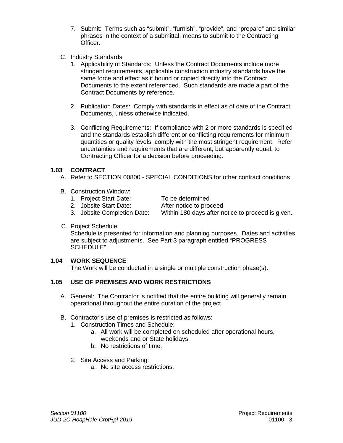- 7. Submit: Terms such as "submit", "furnish", "provide", and "prepare" and similar phrases in the context of a submittal, means to submit to the Contracting Officer.
- C. Industry Standards
	- 1. Applicability of Standards: Unless the Contract Documents include more stringent requirements, applicable construction industry standards have the same force and effect as if bound or copied directly into the Contract Documents to the extent referenced. Such standards are made a part of the Contract Documents by reference.
	- 2. Publication Dates: Comply with standards in effect as of date of the Contract Documents, unless otherwise indicated.
	- 3. Conflicting Requirements: If compliance with 2 or more standards is specified and the standards establish different or conflicting requirements for minimum quantities or quality levels, comply with the most stringent requirement. Refer uncertainties and requirements that are different, but apparently equal, to Contracting Officer for a decision before proceeding.

# **1.03 CONTRACT**

- A. Refer to SECTION 00800 SPECIAL CONDITIONS for other contract conditions.
- B. Construction Window:
	- 1. Project Start Date: To be determined
	- 2. Jobsite Start Date: After notice to proceed

- 3. Jobsite Completion Date: Within 180 days after notice to proceed is given.
	-
- C. Project Schedule:

Schedule is presented for information and planning purposes. Dates and activities are subject to adjustments. See Part 3 paragraph entitled "PROGRESS SCHEDULE".

# **1.04 WORK SEQUENCE**

The Work will be conducted in a single or multiple construction phase(s).

# **1.05 USE OF PREMISES AND WORK RESTRICTIONS**

- A. General: The Contractor is notified that the entire building will generally remain operational throughout the entire duration of the project.
- B. Contractor's use of premises is restricted as follows:
	- 1. Construction Times and Schedule:
		- a. All work will be completed on scheduled after operational hours, weekends and or State holidays.
		- b. No restrictions of time.
	- 2. Site Access and Parking:
		- a. No site access restrictions.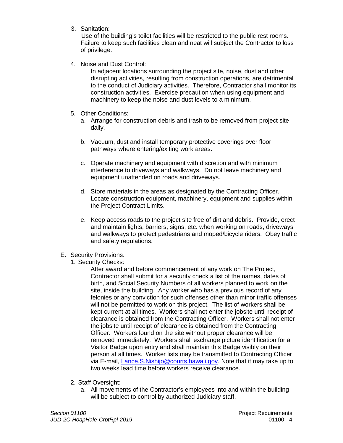3. Sanitation:

 Use of the building's toilet facilities will be restricted to the public rest rooms. Failure to keep such facilities clean and neat will subject the Contractor to loss of privilege.

4. Noise and Dust Control:

In adjacent locations surrounding the project site, noise, dust and other disrupting activities, resulting from construction operations, are detrimental to the conduct of Judiciary activities. Therefore, Contractor shall monitor its construction activities. Exercise precaution when using equipment and machinery to keep the noise and dust levels to a minimum.

- 5. Other Conditions:
	- a. Arrange for construction debris and trash to be removed from project site daily.
	- b. Vacuum, dust and install temporary protective coverings over floor pathways where entering/exiting work areas.
	- c. Operate machinery and equipment with discretion and with minimum interference to driveways and walkways. Do not leave machinery and equipment unattended on roads and driveways.
	- d. Store materials in the areas as designated by the Contracting Officer. Locate construction equipment, machinery, equipment and supplies within the Project Contract Limits.
	- e. Keep access roads to the project site free of dirt and debris. Provide, erect and maintain lights, barriers, signs, etc. when working on roads, driveways and walkways to protect pedestrians and moped/bicycle riders. Obey traffic and safety regulations.
- E. Security Provisions:
	- 1. Security Checks:

After award and before commencement of any work on The Project, Contractor shall submit for a security check a list of the names, dates of birth, and Social Security Numbers of all workers planned to work on the site, inside the building. Any worker who has a previous record of any felonies or any conviction for such offenses other than minor traffic offenses will not be permitted to work on this project. The list of workers shall be kept current at all times. Workers shall not enter the jobsite until receipt of clearance is obtained from the Contracting Officer. Workers shall not enter the jobsite until receipt of clearance is obtained from the Contracting Officer. Workers found on the site without proper clearance will be removed immediately. Workers shall exchange picture identification for a Visitor Badge upon entry and shall maintain this Badge visibly on their person at all times. Worker lists may be transmitted to Contracting Officer via E-mail, [Lance.S.Nishijo@courts.hawaii.gov.](mailto:steven.a.morar@courts.hawaii.gov) Note that it may take up to two weeks lead time before workers receive clearance.

- 2. Staff Oversight:
	- a. All movements of the Contractor's employees into and within the building will be subject to control by authorized Judiciary staff.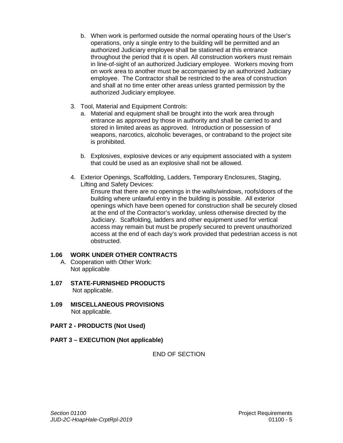- b. When work is performed outside the normal operating hours of the User's operations, only a single entry to the building will be permitted and an authorized Judiciary employee shall be stationed at this entrance throughout the period that it is open. All construction workers must remain in line-of-sight of an authorized Judiciary employee. Workers moving from on work area to another must be accompanied by an authorized Judiciary employee. The Contractor shall be restricted to the area of construction and shall at no time enter other areas unless granted permission by the authorized Judiciary employee.
- 3. Tool, Material and Equipment Controls:
	- a. Material and equipment shall be brought into the work area through entrance as approved by those in authority and shall be carried to and stored in limited areas as approved. Introduction or possession of weapons, narcotics, alcoholic beverages, or contraband to the project site is prohibited.
	- b. Explosives, explosive devices or any equipment associated with a system that could be used as an explosive shall not be allowed.
- 4. Exterior Openings, Scaffolding, Ladders, Temporary Enclosures, Staging, Lifting and Safety Devices:

Ensure that there are no openings in the walls/windows, roofs/doors of the building where unlawful entry in the building is possible. All exterior openings which have been opened for construction shall be securely closed at the end of the Contractor's workday, unless otherwise directed by the Judiciary. Scaffolding, ladders and other equipment used for vertical access may remain but must be properly secured to prevent unauthorized access at the end of each day's work provided that pedestrian access is not obstructed.

# **1.06 WORK UNDER OTHER CONTRACTS**

- A. Cooperation with Other Work: Not applicable
- **1.07 STATE-FURNISHED PRODUCTS** Not applicable.
- **1.09 MISCELLANEOUS PROVISIONS** Not applicable.
- **PART 2 - PRODUCTS (Not Used)**
- **PART 3 – EXECUTION (Not applicable)**

END OF SECTION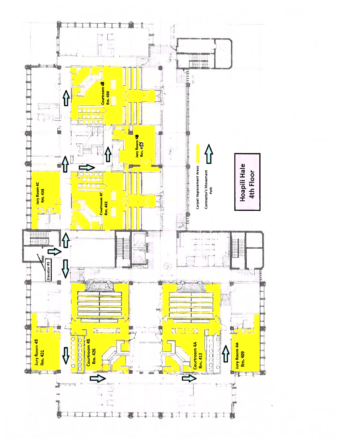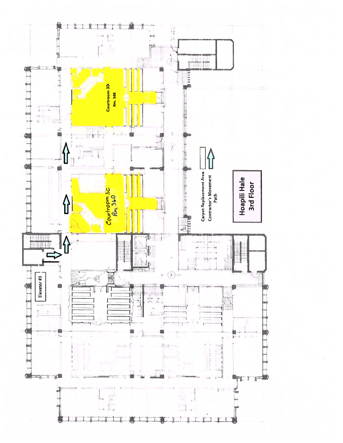